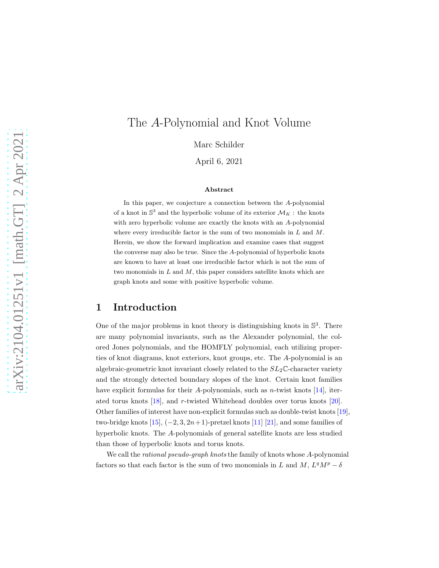# The A-Polynomial and Knot Volume

Marc Schilder

April 6, 2021

#### Abstract

In this paper, we conjecture a connection between the A-polynomial of a knot in  $\mathbb{S}^3$  and the hyperbolic volume of its exterior  $\mathcal{M}_K$ : the knots with zero hyperbolic volume are exactly the knots with an A-polynomial where every irreducible factor is the sum of two monomials in  $L$  and  $M$ . Herein, we show the forward implication and examine cases that suggest the converse may also be true. Since the A-polynomial of hyperbolic knots are known to have at least one irreducible factor which is not the sum of two monomials in  $L$  and  $M$ , this paper considers satellite knots which are graph knots and some with positive hyperbolic volume.

# 1 Introduction

One of the major problems in knot theory is distinguishing knots in  $\mathbb{S}^3$ . There are many polynomial invariants, such as the Alexander polynomial, the colored Jones polynomials, and the HOMFLY polynomial, each utilizing properties of knot diagrams, knot exteriors, knot groups, etc. The A-polynomial is an algebraic-geometric knot invariant closely related to the  $SL_2\mathbb{C}$ -character variety and the strongly detected boundary slopes of the knot. Certain knot families have explicit formulas for their A-polynomials, such as *n*-twist knots  $[14]$ , iterated torus knots [\[18\]](#page-45-0), and r-twisted Whitehead doubles over torus knots [\[20\]](#page-45-1). Other families of interest have non-explicit formulas such as double-twist knots [\[19\]](#page-45-2), two-bridge knots  $[15]$ ,  $(-2, 3, 2n+1)$ -pretzel knots  $[11]$   $[21]$ , and some families of hyperbolic knots. The A-polynomials of general satellite knots are less studied than those of hyperbolic knots and torus knots.

We call the *rational pseudo-graph knots* the family of knots whose A-polynomial factors so that each factor is the sum of two monomials in L and M,  $L^qM^p - \delta$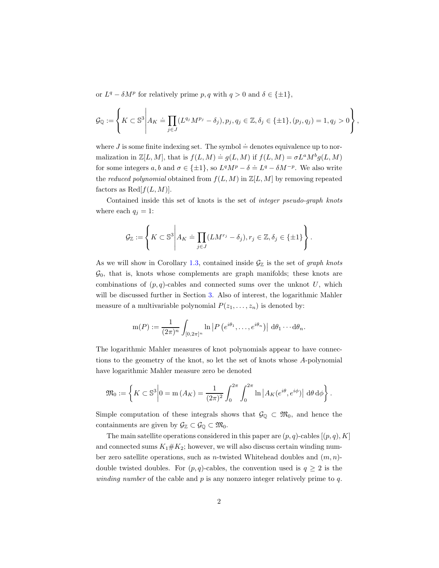or  $L^q - \delta M^p$  for relatively prime p, q with  $q > 0$  and  $\delta \in {\pm 1}$ ,

$$
\mathcal{G}_{\mathbb{Q}} := \left\{ K \subset \mathbb{S}^3 \middle| A_K \doteq \prod_{j \in J} (L^{q_j} M^{p_j} - \delta_j), p_j, q_j \in \mathbb{Z}, \delta_j \in \{\pm 1\}, (p_j, q_j) = 1, q_j > 0 \right\},\
$$

where J is some finite indexing set. The symbol  $\doteq$  denotes equivalence up to normalization in  $\mathbb{Z}[L,M]$ , that is  $f(L,M) \doteq g(L,M)$  if  $f(L,M) = \sigma L^a M^b g(L,M)$ for some integers a, b and  $\sigma \in \{\pm 1\}$ , so  $L^qM^p - \delta = L^q - \delta M^{-p}$ . We also write the *reduced polynomial* obtained from  $f(L, M)$  in  $\mathbb{Z}[L, M]$  by removing repeated factors as  $\text{Red}[f(L,M)]$ .

Contained inside this set of knots is the set of *integer pseudo-graph knots* where each  $q_i = 1$ :

$$
\mathcal{G}_{\mathbb{Z}} := \left\{ K \subset \mathbb{S}^3 \middle| A_K \doteq \prod_{j \in J} (LM^{r_j} - \delta_j), r_j \in \mathbb{Z}, \delta_j \in \{\pm 1\} \right\}.
$$

As we will show in Corollary [1.3,](#page-2-0) contained inside  $\mathcal{G}_{\mathbb{Z}}$  is the set of *graph knots*  $\mathcal{G}_0$ , that is, knots whose complements are graph manifolds; these knots are combinations of  $(p, q)$ -cables and connected sums over the unknot U, which will be discussed further in Section [3.](#page-9-0) Also of interest, the logarithmic Mahler measure of a multivariable polynomial  $P(z_1, \ldots, z_n)$  is denoted by:

$$
m(P) := \frac{1}{(2\pi)^n} \int_{[0,2\pi]^n} \ln \left| P\left(e^{i\theta_1}, \ldots, e^{i\theta_n}\right) \right| d\theta_1 \cdots d\theta_n.
$$

The logarithmic Mahler measures of knot polynomials appear to have connections to the geometry of the knot, so let the set of knots whose A-polynomial have logarithmic Mahler measure zero be denoted

$$
\mathfrak{M}_0 := \left\{ K \subset \mathbb{S}^3 \middle| 0 = \mathrm{m}\left(A_K\right) = \frac{1}{(2\pi)^2} \int_0^{2\pi} \int_0^{2\pi} \mathrm{ln} \left| A_K(e^{i\theta}, e^{i\phi}) \right| d\theta d\phi \right\}.
$$

Simple computation of these integrals shows that  $\mathcal{G}_{\mathbb{Q}} \subset \mathfrak{M}_0$ , and hence the containments are given by  $\mathcal{G}_{\mathbb{Z}} \subset \mathcal{G}_{\mathbb{Q}} \subset \mathfrak{M}_0$ .

The main satellite operations considered in this paper are  $(p, q)$ -cables  $[(p, q), K]$ and connected sums  $K_1 \# K_2$ ; however, we will also discuss certain winding number zero satellite operations, such as *n*-twisted Whitehead doubles and  $(m, n)$ double twisted doubles. For  $(p, q)$ -cables, the convention used is  $q \geq 2$  is the *winding number* of the cable and p is any nonzero integer relatively prime to q.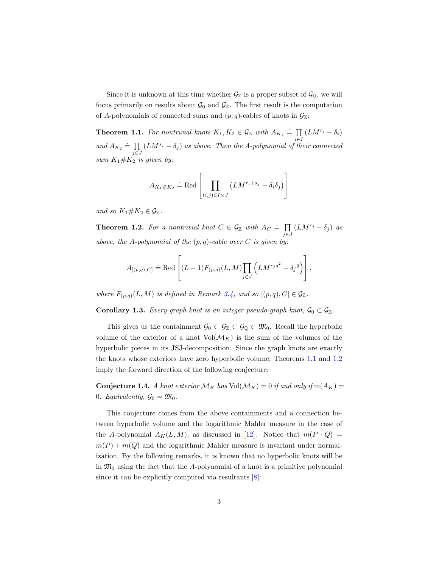Since it is unknown at this time whether  $\mathcal{G}_{\mathbb{Z}}$  is a proper subset of  $\mathcal{G}_{\mathbb{Q}}$ , we will focus primarily on results about  $\mathcal{G}_0$  and  $\mathcal{G}_{\mathbb{Z}}$ . The first result is the computation of A-polynomials of connected sums and  $(p, q)$ -cables of knots in  $\mathcal{G}_{\mathbb{Z}}$ :

<span id="page-2-1"></span>**Theorem 1.1.** For nontrivial knots  $K_1, K_2 \in \mathcal{G}_{\mathbb{Z}}$  with  $A_{K_1} \doteq \prod (LM^{r_i} - \delta_i)$ and  $A_{K_2} \doteq \prod_{i=1}^{K_2} (LM^{s_i} - \delta_i)$  as above. Then the A-polynomial of the  $\prod_{j\in J} (LM^{s_j}-\delta_j)$  *as above. Then the A-polynomial of their connected*  $sum K_1 \# K_2$  *is given by:* 

$$
A_{K_1 \# K_2} \doteq \text{Red} \left[ \prod_{(i,j) \in I \times J} \left( LM^{r_i + s_j} - \delta_i \delta_j \right) \right]
$$

*and so*  $K_1 \# K_2 \in \mathcal{G}_{\mathbb{Z}}$ .

<span id="page-2-2"></span>**Theorem 1.2.** For a nontrivial knot  $C \in \mathcal{G}_{\mathbb{Z}}$  with  $A_C \doteq \prod$  $\prod_{j\in J} (LM^{r_j} - \delta_j)$  *as above, the* A*-polynomial of the* (p, q)*-cable over* C *is given by:*

$$
A_{[(p,q),C]} \doteq \text{Red}\left[ (L-1)F_{(p,q)}(L,M) \prod_{j\in J} \left( LM^{r_j q^2} - \delta_j{}^q \right) \right],
$$

*where*  $F_{(p,q)}(L,M)$  *is defined in Remark [3.4,](#page-11-0)* and so  $[(p,q),C] \in \mathcal{G}_{\mathbb{Z}}$ .

<span id="page-2-0"></span>**Corollary 1.3.** *Every graph knot is an integer pseudo-graph knot*,  $\mathcal{G}_0 \subset \mathcal{G}_{\mathbb{Z}}$ .

This gives us the containment  $\mathcal{G}_0 \subset \mathcal{G}_{\mathbb{Z}} \subset \mathcal{G}_{\mathbb{Q}} \subset \mathfrak{M}_0$ . Recall the hyperbolic volume of the exterior of a knot  $Vol(M_K)$  is the sum of the volumes of the hyperbolic pieces in its JSJ-decomposition. Since the graph knots are exactly the knots whose exteriors have zero hyperbolic volume, Theorems [1.1](#page-2-1) and [1.2](#page-2-2) imply the forward direction of the following conjecture:

<span id="page-2-3"></span>**Conjecture 1.4.** A knot exterior  $\mathcal{M}_K$  has  $\text{Vol}(\mathcal{M}_K) = 0$  if and only if  $m(A_K) =$ 0*. Equivalently,*  $\mathcal{G}_0 = \mathfrak{M}_0$ .

This conjecture comes from the above containments and a connection between hyperbolic volume and the logarithmic Mahler measure in the case of the A-polynomial  $A_K(L, M)$ , as discussed in [\[12\]](#page-44-3). Notice that  $m(P \cdot Q)$  =  $m(P) + m(Q)$  and the logarithmic Mahler measure is invariant under normalization. By the following remarks, it is known that no hyperbolic knots will be in  $\mathfrak{M}_0$  using the fact that the A-polynomial of a knot is a primitive polynomial since it can be explicitly computed via resultants [\[8\]](#page-44-4):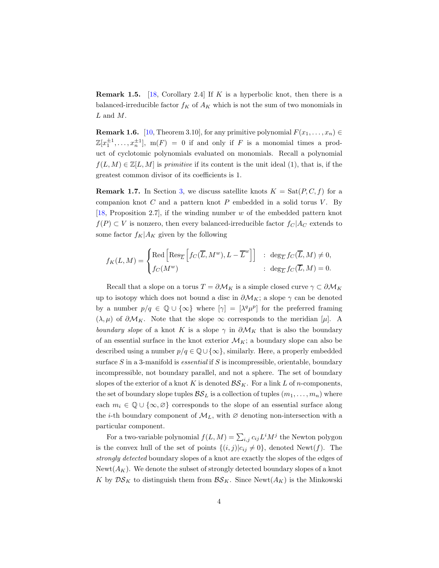<span id="page-3-0"></span>**Remark 1.5.** [\[18,](#page-45-0) Corollary 2.4] If K is a hyperbolic knot, then there is a balanced-irreducible factor  $f_K$  of  $A_K$  which is not the sum of two monomials in  $L$  and  $M$ .

**Remark 1.6.** [\[10,](#page-44-5) Theorem 3.10], for any primitive polynomial  $F(x_1, \ldots, x_n) \in$  $\mathbb{Z}[x_1^{\pm 1}, \ldots, x_n^{\pm 1}]$ ,  $m(F) = 0$  if and only if F is a monomial times a product of cyclotomic polynomials evaluated on monomials. Recall a polynomial  $f(L, M) \in \mathbb{Z}[L, M]$  is *primitive* if its content is the unit ideal (1), that is, if the greatest common divisor of its coefficients is 1.

<span id="page-3-1"></span>**Remark 1.7.** In Section [3,](#page-9-0) we discuss satellite knots  $K = \text{Sat}(P, C, f)$  for a companion knot  $C$  and a pattern knot  $P$  embedded in a solid torus  $V$ . By [\[18,](#page-45-0) Proposition 2.7], if the winding number  $w$  of the embedded pattern knot  $f(P) \subset V$  is nonzero, then every balanced-irreducible factor  $f_C | A_C$  extends to some factor  $f_K|A_K$  given by the following

$$
f_K(L,M) = \begin{cases}\mathrm{Red}\left[\mathrm{Res}_{\overline{L}}\left[f_C(\overline{L},M^w),L-\overline{L}^w\right]\right] & : \ \mathrm{deg}_{\overline{L}}f_C(\overline{L},M) \neq 0, \\ f_C(M^w) & : \ \mathrm{deg}_{\overline{L}}f_C(\overline{L},M) = 0.\end{cases}
$$

Recall that a slope on a torus  $T = \partial \mathcal{M}_K$  is a simple closed curve  $\gamma \subset \partial \mathcal{M}_K$ up to isotopy which does not bound a disc in  $\partial \mathcal{M}_K$ ; a slope  $\gamma$  can be denoted by a number  $p/q \in \mathbb{Q} \cup {\infty}$  where  $[\gamma] = [\lambda^q \mu^p]$  for the preferred framing  $(\lambda, \mu)$  of  $\partial \mathcal{M}_K$ . Note that the slope  $\infty$  corresponds to the meridian  $[\mu]$ . A *boundary slope* of a knot K is a slope  $\gamma$  in  $\partial M_K$  that is also the boundary of an essential surface in the knot exterior  $\mathcal{M}_K$ ; a boundary slope can also be described using a number  $p/q \in \mathbb{Q} \cup \{\infty\}$ , similarly. Here, a properly embedded surface S in a 3-manifold is *essential* if S is incompressible, orientable, boundary incompressible, not boundary parallel, and not a sphere. The set of boundary slopes of the exterior of a knot K is denoted  $\mathcal{BS}_K$ . For a link L of n-components, the set of boundary slope tuples  $\mathcal{BS}_L$  is a collection of tuples  $(m_1, \ldots, m_n)$  where each  $m_i \in \mathbb{Q} \cup {\infty, \emptyset}$  corresponds to the slope of an essential surface along the *i*-th boundary component of  $M_L$ , with  $\varnothing$  denoting non-intersection with a particular component.

For a two-variable polynomial  $f(L, M) = \sum_{i,j} c_{ij} L^i M^j$  the Newton polygon is the convex hull of the set of points  $\{(i, j)|c_{ij} \neq 0\}$ , denoted Newt(f). The *strongly detected* boundary slopes of a knot are exactly the slopes of the edges of Newt $(A_K)$ . We denote the subset of strongly detected boundary slopes of a knot K by  $\mathcal{DS}_K$  to distinguish them from  $\mathcal{BS}_K$ . Since Newt $(A_K)$  is the Minkowski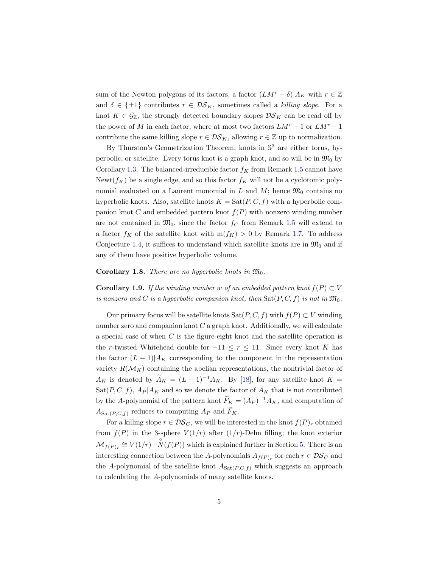sum of the Newton polygons of its factors, a factor  $(LM^r - \delta)|A_K$  with  $r \in \mathbb{Z}$ and  $\delta \in {\pm 1}$  contributes  $r \in \mathcal{DS}_K$ , sometimes called a *killing slope*. For a knot  $K \in \mathcal{G}_{\mathbb{Z}}$ , the strongly detected boundary slopes  $\mathcal{DS}_K$  can be read off by the power of M in each factor, where at most two factors  $LM^r + 1$  or  $LM^r - 1$ contribute the same killing slope  $r \in \mathcal{DS}_K$ , allowing  $r \in \mathbb{Z}$  up to normalization.

By Thurston's Geometrization Theorem, knots in  $\mathbb{S}^3$  are either torus, hyperbolic, or satellite. Every torus knot is a graph knot, and so will be in  $\mathfrak{M}_0$  by Corollary [1.3.](#page-2-0) The balanced-irreducible factor  $f_K$  from Remark [1.5](#page-3-0) cannot have Newt( $f_K$ ) be a single edge, and so this factor  $f_K$  will not be a cyclotomic polynomial evaluated on a Laurent monomial in L and M; hence  $\mathfrak{M}_0$  contains no hyperbolic knots. Also, satellite knots  $K = \text{Sat}(P, C, f)$  with a hyperbolic companion knot C and embedded pattern knot  $f(P)$  with nonzero winding number are not contained in  $\mathfrak{M}_0$ , since the factor  $f_C$  from Remark [1.5](#page-3-0) will extend to a factor  $f_K$  of the satellite knot with  $m(f_K) > 0$  by Remark [1.7.](#page-3-1) To address Conjecture [1.4,](#page-2-3) it suffices to understand which satellite knots are in  $\mathfrak{M}_0$  and if any of them have positive hyperbolic volume.

<span id="page-4-0"></span>**Corollary 1.8.** *There are no hyperbolic knots in*  $\mathfrak{M}_0$ *.* 

**Corollary 1.9.** *If the winding number* w *of an embedded pattern knot*  $f(P) \subset V$ *is nonzero and* C *is a hyperbolic companion knot, then*  $\text{Sat}(P, C, f)$  *is not in*  $\mathfrak{M}_0$ *.* 

Our primary focus will be satellite knots  $\text{Sat}(P, C, f)$  with  $f(P) \subset V$  winding number zero and companion knot  $C$  a graph knot. Additionally, we will calculate a special case of when C is the figure-eight knot and the satellite operation is the r-twisted Whitehead double for  $-11 \le r \le 11$ . Since every knot K has the factor  $(L-1)|A_K$  corresponding to the component in the representation variety  $R(\mathcal{M}_K)$  containing the abelian representations, the nontrivial factor of  $A_K$  is denoted by  $\widetilde{A}_K = (L-1)^{-1}A_K$ . By [\[18\]](#page-45-0), for any satellite knot  $K =$  $\text{Sat}(P, C, f), A_P | A_K$  and so we denote the factor of  $A_K$  that is not contributed by the A-polynomial of the pattern knot  $\tilde{F}_K = (A_P)^{-1} A_K$ , and computation of  $A_{\text{Sat}(P,C,f)}$  reduces to computing  $A_P$  and  $F_K$ .

For a killing slope  $r \in \mathcal{DS}_C$ , we will be interested in the knot  $f(P)_r$  obtained from  $f(P)$  in the 3-sphere  $V(1/r)$  after  $(1/r)$ -Dehn filling; the knot exterior  $\mathcal{M}_{f(P)_r} \cong V(1/r) - \overset{\circ}{N}(f(P))$  which is explained further in Section [5.](#page-18-0) There is an interesting connection between the A-polynomials  $A_{f(P)_r}$  for each  $r \in \mathcal{DS}_C$  and the A-polynomial of the satellite knot  $A_{Sat(P,C,f)}$  which suggests an approach to calculating the A-polynomials of many satellite knots.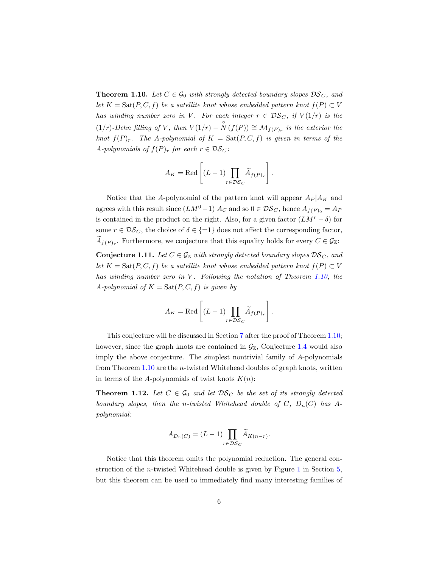<span id="page-5-0"></span>**Theorem 1.10.** Let  $C \in \mathcal{G}_0$  *with strongly detected boundary slopes*  $DS_C$ *, and let*  $K = \text{Sat}(P, C, f)$  *be a satellite knot whose embedded pattern knot*  $f(P) \subset V$ *has winding number zero in* V. For each integer  $r \in DS_C$ , if  $V(1/r)$  is the  $(1/r)$ *-Dehn filling of* V, then  $V(1/r) - \overset{\circ}{N}(f(P)) \cong \mathcal{M}_{f(P)_r}$  is the exterior the *knot*  $f(P)_r$ *. The A-polynomial of*  $K = \text{Sat}(P, C, f)$  *is given in terms of the* A-polynomials of  $f(P)_r$  for each  $r \in \mathcal{DS}_C$ :

$$
A_K = \text{Red}\left[ (L-1) \prod_{r \in \mathcal{DS}_C} \widetilde{A}_{f(P)_r} \right].
$$

Notice that the A-polynomial of the pattern knot will appear  $A_P | A_K$  and agrees with this result since  $(LM^0-1)|A_C$  and so  $0 \in \mathcal{DS}_C$ , hence  $A_{f(P)_0} = A_P$ is contained in the product on the right. Also, for a given factor  $(LM<sup>r</sup> - \delta)$  for some  $r \in \mathcal{DS}_C$ , the choice of  $\delta \in \{\pm 1\}$  does not affect the corresponding factor,  $A_{f(P)_r}$ . Furthermore, we conjecture that this equality holds for every  $C \in \mathcal{G}_{\mathbb{Z}}$ :

<span id="page-5-2"></span>**Conjecture 1.11.** Let  $C \in \mathcal{G}_{\mathbb{Z}}$  with strongly detected boundary slopes  $\mathcal{DS}_C$ , and *let*  $K = \text{Sat}(P, C, f)$  *be a satellite knot whose embedded pattern knot*  $f(P) \subset V$ *has winding number zero in* V. Following the notation of Theorem [1.10,](#page-5-0) the A-polynomial of  $K = \text{Sat}(P, C, f)$  *is given by* 

$$
A_K = \text{Red}\left[ (L-1) \prod_{r \in \mathcal{DS}_C} \widetilde{A}_{f(P)_r} \right].
$$

This conjecture will be discussed in Section [7](#page-35-0) after the proof of Theorem [1.10;](#page-5-0) however, since the graph knots are contained in  $\mathcal{G}_{\mathbb{Z}}$ , Conjecture [1.4](#page-2-3) would also imply the above conjecture. The simplest nontrivial family of A-polynomials from Theorem  $1.10$  are the *n*-twisted Whitehead doubles of graph knots, written in terms of the A-polynomials of twist knots  $K(n)$ :

<span id="page-5-1"></span>**Theorem 1.12.** Let  $C \in \mathcal{G}_0$  and let  $\mathcal{DS}_C$  be the set of its strongly detected *boundary slopes, then the n-twisted Whitehead double of*  $C$ *,*  $D_n(C)$  *has* A*polynomial:*

$$
A_{D_n(C)} = (L-1) \prod_{r \in \mathcal{DS}_C} \widetilde{A}_{K(n-r)}.
$$

Notice that this theorem omits the polynomial reduction. The general construction of the *n*-twisted Whitehead double is given by Figure [1](#page-18-1) in Section  $5$ , but this theorem can be used to immediately find many interesting families of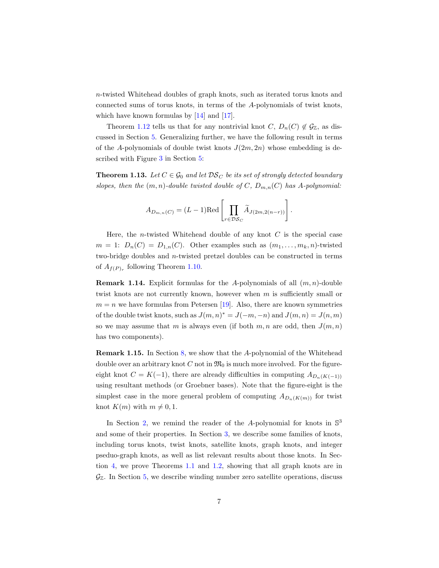n-twisted Whitehead doubles of graph knots, such as iterated torus knots and connected sums of torus knots, in terms of the A-polynomials of twist knots, which have known formulas by [\[14\]](#page-44-0) and [\[17\]](#page-44-6).

Theorem [1.12](#page-5-1) tells us that for any nontrivial knot  $C, D_n(C) \notin \mathcal{G}_{\mathbb{Z}}$ , as discussed in Section [5.](#page-18-0) Generalizing further, we have the following result in terms of the A-polynomials of double twist knots  $J(2m, 2n)$  whose embedding is described with Figure [3](#page-35-1) in Section [5:](#page-18-0)

<span id="page-6-0"></span>**Theorem 1.13.** Let  $C \in \mathcal{G}_0$  and let  $\mathcal{DS}_C$  be its set of strongly detected boundary *slopes, then the*  $(m, n)$ *-double twisted double of* C,  $D_{m,n}(C)$  *has* A-polynomial:

$$
A_{D_{m,n}(C)} = (L-1)\text{Red}\left[\prod_{r \in \mathcal{DS}_C} \widetilde{A}_{J(2m,2(n-r))}\right].
$$

Here, the *n*-twisted Whitehead double of any knot  $C$  is the special case  $m = 1: D_n(C) = D_{1,n}(C)$ . Other examples such as  $(m_1, \ldots, m_k, n)$ -twisted two-bridge doubles and n-twisted pretzel doubles can be constructed in terms of  $A_{f(P)_r}$  following Theorem [1.10.](#page-5-0)

**Remark 1.14.** Explicit formulas for the A-polynomials of all  $(m, n)$ -double twist knots are not currently known, however when  $m$  is sufficiently small or  $m = n$  we have formulas from Petersen [\[19\]](#page-45-2). Also, there are known symmetries of the double twist knots, such as  $J(m, n)^* = J(-m, -n)$  and  $J(m, n) = J(n, m)$ so we may assume that m is always even (if both  $m, n$  are odd, then  $J(m, n)$ ) has two components).

Remark 1.15. In Section [8,](#page-38-0) we show that the A-polynomial of the Whitehead double over an arbitrary knot C not in  $\mathfrak{M}_0$  is much more involved. For the figureeight knot  $C = K(-1)$ , there are already difficulties in computing  $A_{D_n(K(-1))}$ using resultant methods (or Groebner bases). Note that the figure-eight is the simplest case in the more general problem of computing  $A_{D_n(K(m))}$  for twist knot  $K(m)$  with  $m \neq 0, 1$ .

In Section [2,](#page-7-0) we remind the reader of the A-polynomial for knots in  $\mathbb{S}^3$ and some of their properties. In Section [3,](#page-9-0) we describe some families of knots, including torus knots, twist knots, satellite knots, graph knots, and integer pseduo-graph knots, as well as list relevant results about those knots. In Section [4,](#page-12-0) we prove Theorems [1.1](#page-2-1) and [1.2,](#page-2-2) showing that all graph knots are in  $\mathcal{G}_{\mathbb{Z}}$ . In Section [5,](#page-18-0) we describe winding number zero satellite operations, discuss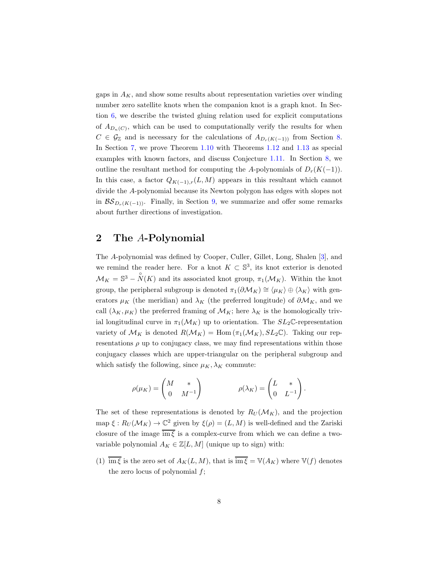gaps in  $A_K$ , and show some results about representation varieties over winding number zero satellite knots when the companion knot is a graph knot. In Section [6,](#page-32-0) we describe the twisted gluing relation used for explicit computations of  $A_{D_n(C)}$ , which can be used to computationally verify the results for when  $C \in \mathcal{G}_{\mathbb{Z}}$  and is necessary for the calculations of  $A_{D_r(K(-1))}$  from Section [8.](#page-38-0) In Section [7,](#page-35-0) we prove Theorem [1.10](#page-5-0) with Theorems [1.12](#page-5-1) and [1.13](#page-6-0) as special examples with known factors, and discuss Conjecture [1.11.](#page-5-2) In Section [8,](#page-38-0) we outline the resultant method for computing the A-polynomials of  $D_r(K(-1))$ . In this case, a factor  $Q_{K(-1),r}(L, M)$  appears in this resultant which cannot divide the A-polynomial because its Newton polygon has edges with slopes not in  $\mathcal{BS}_{D_r(K(-1))}$ . Finally, in Section [9,](#page-43-0) we summarize and offer some remarks about further directions of investigation.

# <span id="page-7-0"></span>2 The A-Polynomial

The A-polynomial was defined by Cooper, Culler, Gillet, Long, Shalen [\[3\]](#page-43-1), and we remind the reader here. For a knot  $K \subset \mathbb{S}^3$ , its knot exterior is denoted  $\mathcal{M}_K = \mathbb{S}^3 - \overset{\circ}{N}(K)$  and its associated knot group,  $\pi_1(\mathcal{M}_K)$ . Within the knot group, the peripheral subgroup is denoted  $\pi_1(\partial \mathcal{M}_K) \cong \langle \mu_K \rangle \oplus \langle \lambda_K \rangle$  with generators  $\mu_K$  (the meridian) and  $\lambda_K$  (the preferred longitude) of  $\partial M_K$ , and we call  $(\lambda_K, \mu_K)$  the preferred framing of  $\mathcal{M}_K$ ; here  $\lambda_K$  is the homologically trivial longitudinal curve in  $\pi_1(\mathcal{M}_K)$  up to orientation. The  $SL_2\mathbb{C}$ -representation variety of  $\mathcal{M}_K$  is denoted  $R(\mathcal{M}_K) = \text{Hom}(\pi_1(\mathcal{M}_K), SL_2\mathbb{C})$ . Taking our representations  $\rho$  up to conjugacy class, we may find representations within those conjugacy classes which are upper-triangular on the peripheral subgroup and which satisfy the following, since  $\mu_K, \lambda_K$  commute:

$$
\rho(\mu_K) = \begin{pmatrix} M & * \\ 0 & M^{-1} \end{pmatrix} \qquad \qquad \rho(\lambda_K) = \begin{pmatrix} L & * \\ 0 & L^{-1} \end{pmatrix}.
$$

The set of these representations is denoted by  $R_U(\mathcal{M}_K)$ , and the projection map  $\xi: R_U(\mathcal{M}_K) \to \mathbb{C}^2$  given by  $\xi(\rho) = (L, M)$  is well-defined and the Zariski closure of the image  $\overline{\text{im}\,\xi}$  is a complex-curve from which we can define a twovariable polynomial  $A_K \in \mathbb{Z}[L, M]$  (unique up to sign) with:

(1)  $\overline{\mathrm{im}\,\xi}$  is the zero set of  $A_K(L,M)$ , that is  $\overline{\mathrm{im}\,\xi} = \mathbb{V}(A_K)$  where  $\mathbb{V}(f)$  denotes the zero locus of polynomial  $f$ ;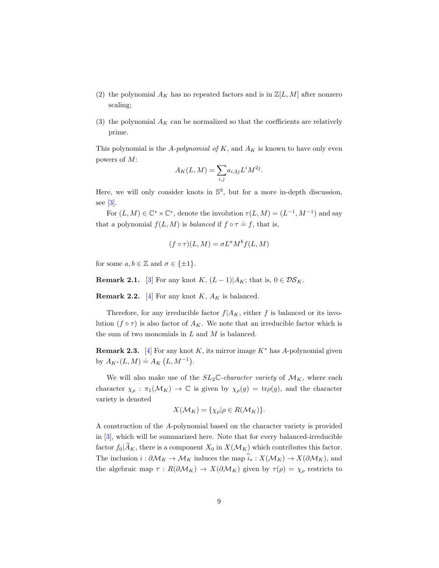- (2) the polynomial  $A_K$  has no repeated factors and is in  $\mathbb{Z}[L, M]$  after nonzero scaling;
- (3) the polynomial  $A_K$  can be normalized so that the coefficients are relatively prime.

This polynomial is the  $A$ -*polynomial of*  $K$ , and  $A_K$  is known to have only even powers of M:

$$
A_K(L, M) = \sum_{i,j} a_{i,2j} L^i M^{2j}.
$$

Here, we will only consider knots in  $\mathbb{S}^3$ , but for a more in-depth discussion, see [\[3\]](#page-43-1).

For  $(L, M) \in \mathbb{C}^* \times \mathbb{C}^*$ , denote the involution  $\tau(L, M) = (L^{-1}, M^{-1})$  and say that a polynomial  $f(L, M)$  is *balanced* if  $f \circ \tau = f$ , that is,

$$
(f \circ \tau)(L, M) = \sigma L^a M^b f(L, M)
$$

for some  $a, b \in \mathbb{Z}$  and  $\sigma \in \{\pm 1\}.$ 

<span id="page-8-0"></span>**Remark 2.1.** [\[3\]](#page-43-1) For any knot K,  $(L-1)|A_K$ ; that is,  $0 \in \mathcal{DS}_K$ .

**Remark 2.2.** [\[4\]](#page-44-7) For any knot K,  $A_K$  is balanced.

Therefore, for any irreducible factor  $f|A_K$ , either f is balanced or its involution  $(f \circ \tau)$  is also factor of  $A_K$ . We note that an irreducible factor which is the sum of two monomials in  $L$  and  $M$  is balanced.

<span id="page-8-1"></span>**Remark 2.3.** [\[4\]](#page-44-7) For any knot K, its mirror image  $K^*$  has A-polynomial given by  $A_{K^*}(L, M) \doteq A_K(L, M^{-1}).$ 

We will also make use of the  $SL_2\mathbb{C}$ -*character variety* of  $\mathcal{M}_K$ , where each character  $\chi_{\rho} : \pi_1(\mathcal{M}_K) \to \mathbb{C}$  is given by  $\chi_{\rho}(g) = \text{tr}\rho(g)$ , and the character variety is denoted

$$
X(\mathcal{M}_K) = \{ \chi_{\rho} | \rho \in R(\mathcal{M}_K) \}.
$$

A construction of the A-polynomial based on the character variety is provided in [\[3\]](#page-43-1), which will be summarized here. Note that for every balanced-irreducible factor  $f_0|\widetilde{A}_K$ , there is a component  $X_0$  in  $X(\mathcal{M}_K)$  which contributes this factor. The inclusion  $i : \partial \mathcal{M}_K \to \mathcal{M}_K$  induces the map  $\widehat{i}_* : X(\mathcal{M}_K) \to X(\partial \mathcal{M}_K)$ , and the algebraic map  $\tau : R(\partial \mathcal{M}_K) \to X(\partial \mathcal{M}_K)$  given by  $\tau(\rho) = \chi_\rho$  restricts to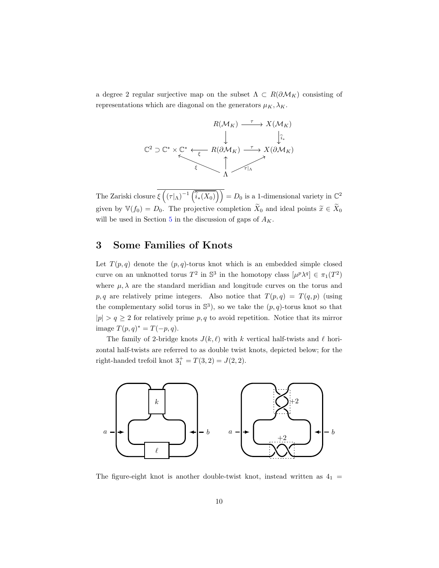a degree 2 regular surjective map on the subset  $\Lambda \subset R(\partial \mathcal{M}_K)$  consisting of representations which are diagonal on the generators  $\mu_K, \lambda_K$ .

$$
R(\mathcal{M}_K) \xrightarrow{\tau} X(\mathcal{M}_K)
$$
\n
$$
\downarrow \qquad \qquad \downarrow \qquad \downarrow \downarrow \downarrow \downarrow
$$
\n
$$
C^2 \supset C^* \times C^* \xleftarrow{\epsilon} R(\partial \mathcal{M}_K) \xrightarrow{\tau} X(\partial \mathcal{M}_K)
$$
\n
$$
\uparrow \qquad \qquad \downarrow
$$
\n
$$
\uparrow \qquad \qquad \downarrow
$$
\n
$$
\uparrow \qquad \qquad \downarrow
$$
\n
$$
\uparrow \qquad \qquad \downarrow
$$

The Zariski closure  $\overline{\xi\left(\left(\tau|\Lambda\right)^{-1}\left(\overline{\hat{i}_*(X_0)}\right)\right)} = D_0$  is a 1-dimensional variety in  $\mathbb{C}^2$ given by  $\mathbb{V}(f_0) = D_0$ . The projective completion  $\widetilde{X}_0$  and ideal points  $\widetilde{x} \in \widetilde{X}_0$ will be used in Section [5](#page-18-0) in the discussion of gaps of  $A_K$ .

# <span id="page-9-0"></span>3 Some Families of Knots

Let  $T(p,q)$  denote the  $(p,q)$ -torus knot which is an embedded simple closed curve on an unknotted torus  $T^2$  in  $\mathbb{S}^3$  in the homotopy class  $[\mu^p \lambda^q] \in \pi_1(T^2)$ where  $\mu$ ,  $\lambda$  are the standard meridian and longitude curves on the torus and p, q are relatively prime integers. Also notice that  $T(p,q) = T(q,p)$  (using the complementary solid torus in  $\mathbb{S}^3$ , so we take the  $(p, q)$ -torus knot so that  $|p| > q \ge 2$  for relatively prime p, q to avoid repetition. Notice that its mirror image  $T(p, q)^* = T(-p, q)$ .

The family of 2-bridge knots  $J(k, \ell)$  with k vertical half-twists and  $\ell$  horizontal half-twists are referred to as double twist knots, depicted below; for the right-handed trefoil knot  $3^+_1 = T(3, 2) = J(2, 2)$ .



The figure-eight knot is another double-twist knot, instead written as  $4<sub>1</sub>$  =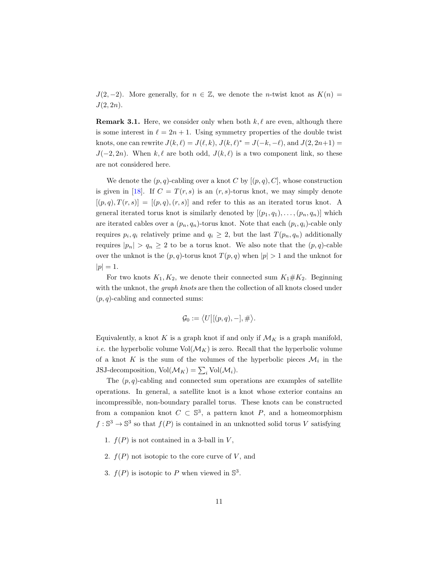$J(2, -2)$ . More generally, for  $n \in \mathbb{Z}$ , we denote the *n*-twist knot as  $K(n) =$  $J(2, 2n)$ .

**Remark 3.1.** Here, we consider only when both  $k, \ell$  are even, although there is some interest in  $\ell = 2n + 1$ . Using symmetry properties of the double twist knots, one can rewrite  $J(k, \ell) = J(\ell, k), J(k, \ell)^* = J(-k, -\ell),$  and  $J(2, 2n+1) =$  $J(-2, 2n)$ . When k,  $\ell$  are both odd,  $J(k, \ell)$  is a two component link, so these are not considered here.

We denote the  $(p, q)$ -cabling over a knot C by  $[(p, q), C]$ , whose construction is given in [\[18\]](#page-45-0). If  $C = T(r, s)$  is an  $(r, s)$ -torus knot, we may simply denote  $[(p,q), T(r,s)] = [(p,q), (r,s)]$  and refer to this as an iterated torus knot. A general iterated torus knot is similarly denoted by  $[(p_1, q_1), \ldots, (p_n, q_n)]$  which are iterated cables over a  $(p_n, q_n)$ -torus knot. Note that each  $(p_i, q_i)$ -cable only requires  $p_i, q_i$  relatively prime and  $q_i \geq 2$ , but the last  $T(p_n, q_n)$  additionally requires  $|p_n| > q_n \geq 2$  to be a torus knot. We also note that the  $(p, q)$ -cable over the unknot is the  $(p, q)$ -torus knot  $T(p, q)$  when  $|p| > 1$  and the unknot for  $|p| = 1.$ 

For two knots  $K_1, K_2$ , we denote their connected sum  $K_1 \# K_2$ . Beginning with the unknot, the *graph knots* are then the collection of all knots closed under  $(p, q)$ -cabling and connected sums:

$$
\mathcal{G}_0 := \langle U | [(p, q), -], \# \rangle.
$$

Equivalently, a knot K is a graph knot if and only if  $\mathcal{M}_K$  is a graph manifold, *i.e.* the hyperbolic volume  $\text{Vol}(\mathcal{M}_K)$  is zero. Recall that the hyperbolic volume of a knot K is the sum of the volumes of the hyperbolic pieces  $\mathcal{M}_i$  in the JSJ-decomposition,  $\text{Vol}(\mathcal{M}_K) = \sum_i \text{Vol}(\mathcal{M}_i)$ .

The  $(p, q)$ -cabling and connected sum operations are examples of satellite operations. In general, a satellite knot is a knot whose exterior contains an incompressible, non-boundary parallel torus. These knots can be constructed from a companion knot  $C \subset \mathbb{S}^3$ , a pattern knot P, and a homeomorphism  $f : \mathbb{S}^3 \to \mathbb{S}^3$  so that  $f(P)$  is contained in an unknotted solid torus V satisfying

- 1.  $f(P)$  is not contained in a 3-ball in  $V$ ,
- 2.  $f(P)$  not isotopic to the core curve of V, and
- 3.  $f(P)$  is isotopic to P when viewed in  $\mathbb{S}^3$ .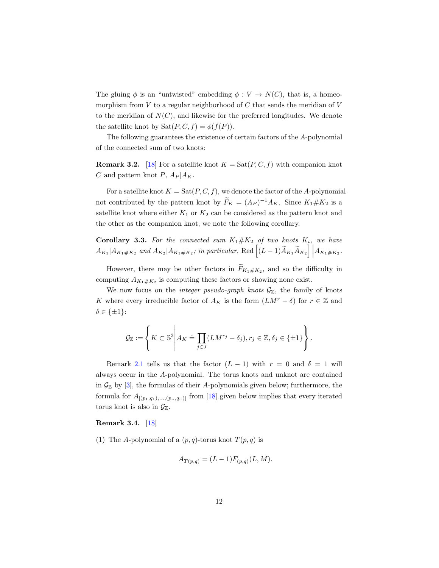The gluing  $\phi$  is an "untwisted" embedding  $\phi: V \to N(C)$ , that is, a homeomorphism from  $V$  to a regular neighborhood of  $C$  that sends the meridian of  $V$ to the meridian of  $N(C)$ , and likewise for the preferred longitudes. We denote the satellite knot by  $\text{Sat}(P, C, f) = \phi(f(P)).$ 

The following guarantees the existence of certain factors of the A-polynomial of the connected sum of two knots:

<span id="page-11-2"></span>**Remark 3.2.** [\[18\]](#page-45-0) For a satellite knot  $K = \text{Sat}(P, C, f)$  with companion knot C and pattern knot P,  $A_P | A_K$ .

For a satellite knot  $K = \text{Sat}(P, C, f)$ , we denote the factor of the A-polynomial not contributed by the pattern knot by  $F_K = (A_P)^{-1} A_K$ . Since  $K_1 \# K_2$  is a satellite knot where either  $K_1$  or  $K_2$  can be considered as the pattern knot and the other as the companion knot, we note the following corollary.

<span id="page-11-1"></span>**Corollary 3.3.** For the connected sum  $K_1 \# K_2$  of two knots  $K_i$ , we have  $A_{K_1}|A_{K_1\#K_2}$  and  $A_{K_2}|A_{K_1\#K_2}$ ; in particular, Red  $\left[ (L-1)\widetilde{A}_{K_1}\widetilde{A}_{K_2} \right]\Big|A_{K_1\#K_2}$ .

However, there may be other factors in  $F_{K_1 \# K_2}$ , and so the difficulty in computing  $A_{K_1 \# K_2}$  is computing these factors or showing none exist.

We now focus on the *integer pseudo-graph knots*  $\mathcal{G}_{\mathbb{Z}}$ , the family of knots K where every irreducible factor of  $A_K$  is the form  $(LM^r - \delta)$  for  $r \in \mathbb{Z}$  and  $\delta \in \{\pm 1\}$ :

$$
\mathcal{G}_{\mathbb{Z}} := \left\{ K \subset \mathbb{S}^3 \middle| A_K \doteq \prod_{j \in J} (LM^{r_j} - \delta_j), r_j \in \mathbb{Z}, \delta_j \in \{\pm 1\} \right\}.
$$

Remark [2.1](#page-8-0) tells us that the factor  $(L - 1)$  with  $r = 0$  and  $\delta = 1$  will always occur in the A-polynomial. The torus knots and unknot are contained in  $\mathcal{G}_{\mathbb{Z}}$  by [\[3\]](#page-43-1), the formulas of their A-polynomials given below; furthermore, the formula for  $A_{[(p_1,q_1),...,(p_n,q_n)]}$  from [\[18\]](#page-45-0) given below implies that every iterated torus knot is also in  $\mathcal{G}_{\mathbb{Z}}$ .

#### <span id="page-11-0"></span>Remark 3.4. [\[18\]](#page-45-0)

(1) The A-polynomial of a  $(p, q)$ -torus knot  $T(p, q)$  is

$$
A_{T(p,q)} = (L-1)F_{(p,q)}(L,M).
$$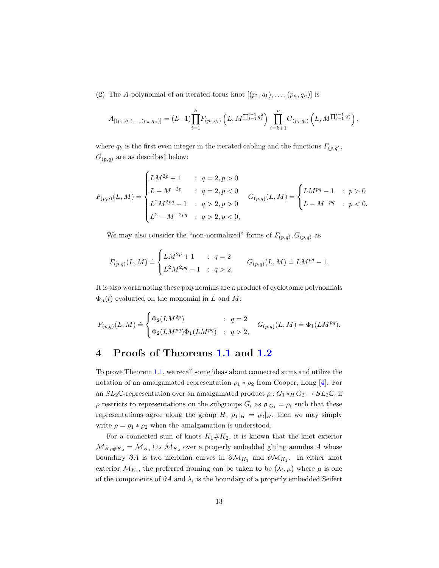(2) The A-polynomial of an iterated torus knot  $[(p_1, q_1), \ldots, (p_n, q_n)]$  is

$$
A_{[(p_1,q_1),..., (p_n,q_n)]} = (L-1) \prod_{i=1}^k F_{(p_i,q_i)} \left( L, M^{\prod_{j=1}^{i-1} q_j^2} \right) \cdot \prod_{i=k+1}^n G_{(p_i,q_i)} \left( L, M^{\prod_{j=1}^{i-1} q_j^2} \right),
$$

where  $q_k$  is the first even integer in the iterated cabling and the functions  $F_{(p,q)}$ ,  $G_{(p,q)}$  are as described below:

$$
F_{(p,q)}(L,M) = \begin{cases} LM^{2p} + 1 & : \quad q = 2, p > 0 \\ L + M^{-2p} & : \quad q = 2, p < 0 \\ L^2 M^{2pq} - 1 & : \quad q > 2, p > 0 \\ L^2 - M^{-2pq} & : \quad q > 2, p < 0, \end{cases} \quad G_{(p,q)}(L,M) = \begin{cases} LM^{pq} - 1 & : \quad p > 0 \\ L - M^{-pq} & : \quad p < 0. \end{cases}
$$

We may also consider the "non-normalized" forms of  $F_{(p,q)}, G_{(p,q)}$  as

$$
F_{(p,q)}(L,M) \doteq \begin{cases} LM^{2p}+1 & : \; q=2 \\ L^2M^{2pq}-1 & : \; q>2, \end{cases} \qquad G_{(p,q)}(L,M) \doteq LM^{pq}-1.
$$

It is also worth noting these polynomials are a product of cyclotomic polynomials  $\Phi_n(t)$  evaluated on the monomial in L and M:

$$
F_{(p,q)}(L,M) \doteq \begin{cases} \Phi_2(LM^{2p}) & : \; q=2 \\ \Phi_2(LM^{pq})\Phi_1(LM^{pq}) & : \; q>2, \end{cases} \quad G_{(p,q)}(L,M) \doteq \Phi_1(LM^{pq}).
$$

## <span id="page-12-0"></span>4 Proofs of Theorems [1.1](#page-2-1) and [1.2](#page-2-2)

To prove Theorem [1.1,](#page-2-1) we recall some ideas about connected sums and utilize the notation of an amalgamated representation  $\rho_1 * \rho_2$  from Cooper, Long [\[4\]](#page-44-7). For an  $SL_2\mathbb{C}$ -representation over an amalgamated product  $\rho: G_1*_H G_2 \to SL_2\mathbb{C}$ , if  $\rho$  restricts to representations on the subgroups  $G_i$  as  $\rho|_{G_i} = \rho_i$  such that these representations agree along the group H,  $\rho_1|_H = \rho_2|_H$ , then we may simply write  $\rho = \rho_1 * \rho_2$  when the amalgamation is understood.

For a connected sum of knots  $K_1 \# K_2$ , it is known that the knot exterior  $\mathcal{M}_{K_1 \# K_2} = \mathcal{M}_{K_1} \cup_A \mathcal{M}_{K_2}$  over a properly embedded gluing annulus A whose boundary  $\partial A$  is two meridian curves in  $\partial \mathcal{M}_{K_1}$  and  $\partial \mathcal{M}_{K_2}$ . In either knot exterior  $\mathcal{M}_{K_i}$ , the preferred framing can be taken to be  $(\lambda_i, \mu)$  where  $\mu$  is one of the components of  $\partial A$  and  $\lambda_i$  is the boundary of a properly embedded Seifert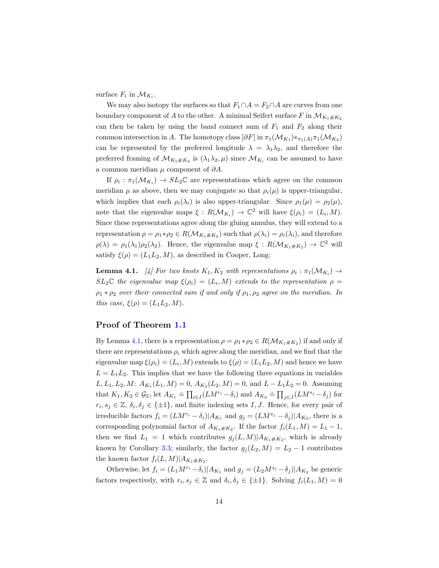surface  $F_i$  in  $\mathcal{M}_{K_i}$ .

We may also isotopy the surfaces so that  $F_1 \cap A = F_2 \cap A$  are curves from one boundary component of A to the other. A minimal Seifert surface F in  $\mathcal{M}_{K_1 \# K_2}$ can then be taken by using the band connect sum of  $F_1$  and  $F_2$  along their common intersection in A. The homotopy class  $[\partial F]$  in  $\pi_1(\mathcal{M}_{K_1}) *_{\pi_1(A)} \pi_1(\mathcal{M}_{K_2})$ can be represented by the preferred longitude  $\lambda = \lambda_1 \lambda_2$ , and therefore the preferred framing of  $\mathcal{M}_{K_1 \# K_2}$  is  $(\lambda_1 \lambda_2, \mu)$  since  $\mathcal{M}_{K_i}$  can be assumed to have a common meridian  $\mu$  component of  $\partial A$ .

If  $\rho_i : \pi_1(\mathcal{M}_{K_i}) \to SL_2\mathbb{C}$  are representations which agree on the common meridian  $\mu$  as above, then we may conjugate so that  $\rho_i(\mu)$  is upper-triangular, which implies that each  $\rho_i(\lambda_i)$  is also upper-triangular. Since  $\rho_1(\mu) = \rho_2(\mu)$ , note that the eigenvalue maps  $\xi: R(\mathcal{M}_{K_i}) \to \mathbb{C}^2$  will have  $\xi(\rho_i) = (L_i, M)$ . Since these representations agree along the gluing annulus, they will extend to a representation  $\rho = \rho_1 * \rho_2 \in R(\mathcal{M}_{K_1 \# K_2})$  such that  $\rho(\lambda_i) = \rho_i(\lambda_i)$ , and therefore  $\rho(\lambda) = \rho_1(\lambda_1)\rho_2(\lambda_2)$ . Hence, the eigenvalue map  $\xi : R(\mathcal{M}_{K_1 \# K_2}) \to \mathbb{C}^2$  will satisfy  $\xi(\rho) = (L_1 L_2, M)$ , as described in Cooper, Long:

<span id="page-13-0"></span>**Lemma 4.1.** [\[4\]](#page-44-7) For two knots  $K_1, K_2$  with representations  $\rho_i : \pi_1(\mathcal{M}_{K_i}) \to$  $SL_2\mathbb{C}$  the eigenvalue map  $\xi(\rho_i) = (L_i, M)$  extends to the representation  $\rho =$  $\rho_1 * \rho_2$  *over their connected sum if and only if*  $\rho_1, \rho_2$  *agree on the meridian. In this case,*  $\xi(\rho) = (L_1 L_2, M)$ *.* 

### Proof of Theorem [1.1](#page-2-1)

By Lemma [4.1,](#page-13-0) there is a representation  $\rho = \rho_1 * \rho_2 \in R(\mathcal{M}_{K_1 \# K_2})$  if and only if there are representations  $\rho_i$  which agree along the meridian, and we find that the eigenvalue map  $\xi(\rho_i) = (L_i, M)$  extends to  $\xi(\rho) = (L_1 L_2, M)$  and hence we have  $L = L_1 L_2$ . This implies that we have the following three equations in variables  $L, L_1, L_2, M: A_{K_1}(L_1, M) = 0, A_{K_2}(L_2, M) = 0$ , and  $L - L_1 L_2 = 0$ . Assuming that  $K_1, K_2 \in \mathcal{G}_{\mathbb{Z}}$ , let  $A_{K_1} = \prod_{i \in I} (LM^{r_i} - \delta_i)$  and  $A_{K_2} = \prod_{j \in J} (LM^{s_j} - \delta_j)$  for  $r_i, s_j \in \mathbb{Z}, \delta_i, \delta_j \in \{\pm 1\},\$ and finite indexing sets I, J. Hence, for every pair of irreducible factors  $f_i = (LM^{r_i} - \delta_i)|A_{K_1}$  and  $g_j = (LM^{s_j} - \delta_j)|A_{K_2}$ , there is a corresponding polynomial factor of  $A_{K_1 \# K_2}$ . If the factor  $f_i(L_1, M) = L_1 - 1$ , then we find  $L_1 = 1$  which contributes  $g_j(L,M)|A_{K_1 \# K_2}$ , which is already known by Corollary [3.3;](#page-11-1) similarly, the factor  $g_i(L_2, M) = L_2 - 1$  contributes the known factor  $f_i(L,M)|A_{K_1\#K_2}$ .

Otherwise, let  $f_i = (L_1 M^{r_i} - \delta_i)|A_{K_1}$  and  $g_j = (L_2 M^{s_j} - \delta_j)|A_{K_2}$  be generic factors respectively, with  $r_i, s_j \in \mathbb{Z}$  and  $\delta_i, \delta_j \in \{\pm 1\}$ . Solving  $f_i(L_1, M) = 0$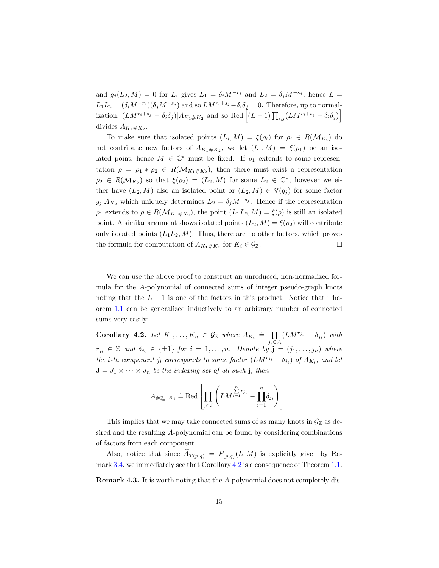and  $g_j(L_2, M) = 0$  for  $L_i$  gives  $L_1 = \delta_i M^{-r_i}$  and  $L_2 = \delta_j M^{-s_j}$ ; hence  $L =$  $L_1L_2 = (\delta_i M^{-r_i})(\delta_j M^{-s_j})$  and so  $LM^{r_i+s_j}-\delta_i\delta_j = 0$ . Therefore, up to normalization,  $(LM^{r_i+s_j}-\delta_i\delta_j)|A_{K_1\#K_2}$  and so Red  $\left[ (L-1)\prod_{i,j}(LM^{r_i+s_j}-\delta_i\delta_j)\right]$ divides  $A_{K_1 \# K_2}$ .

To make sure that isolated points  $(L_i, M) = \xi(\rho_i)$  for  $\rho_i \in R(\mathcal{M}_{K_i})$  do not contribute new factors of  $A_{K_1\#K_2}$ , we let  $(L_1, M) = \xi(\rho_1)$  be an isolated point, hence  $M \in \mathbb{C}^*$  must be fixed. If  $\rho_1$  extends to some representation  $\rho = \rho_1 * \rho_2 \in R(\mathcal{M}_{K_1 \# K_2})$ , then there must exist a representation  $\rho_2 \in R(\mathcal{M}_{K_2})$  so that  $\xi(\rho_2) = (L_2, M)$  for some  $L_2 \in \mathbb{C}^*$ , however we either have  $(L_2, M)$  also an isolated point or  $(L_2, M) \in \mathbb{V}(g_j)$  for some factor  $g_j|A_{K_2}$  which uniquely determines  $L_2 = \delta_j M^{-s_j}$ . Hence if the representation  $\rho_1$  extends to  $\rho \in R(\mathcal{M}_{K_1 \# K_2})$ , the point  $(L_1 L_2, M) = \xi(\rho)$  is still an isolated point. A similar argument shows isolated points  $(L_2, M) = \xi(\rho_2)$  will contribute only isolated points  $(L_1L_2, M)$ . Thus, there are no other factors, which proves the formula for computation of  $A_{K_1 \# K_2}$  for  $K_i \in \mathcal{G}_{\mathbb{Z}}$ .

We can use the above proof to construct an unreduced, non-normalized formula for the A-polynomial of connected sums of integer pseudo-graph knots noting that the  $L - 1$  is one of the factors in this product. Notice that Theorem [1.1](#page-2-1) can be generalized inductively to an arbitrary number of connected sums very easily:

<span id="page-14-0"></span>**Corollary 4.2.** Let  $K_1, \ldots, K_n \in \mathcal{G}_{\mathbb{Z}}$  where  $A_{K_i} \doteq \prod_{i=1}^{n}$  $\prod_{j_i \in J_i} (LM^{r_{j_i}} - \delta_{j_i})$  *with*  $r_{j_i} \in \mathbb{Z}$  and  $\delta_{j_i} \in \{\pm 1\}$  for  $i = 1, \ldots, n$ . Denote by  $\mathbf{j} = (j_1, \ldots, j_n)$  where *the i*-th component  $j_i$  corresponds to some factor  $(LM^{r_{j_i}} - \delta_{j_i})$  of  $A_{K_i}$ , and let  $J = J_1 \times \cdots \times J_n$  *be the indexing set of all such* **j***, then* 

$$
A_{\#_{i=1}^n K_i} \doteq \mathrm{Red}\left[\prod_{\mathbf{j}\in \mathbf{J}} \left(LM^{\sum\limits_{i=1}^n r_{j_i}} - \prod\limits_{i=1}^n \delta_{j_i}\right)\right].
$$

This implies that we may take connected sums of as many knots in  $\mathcal{G}_{\mathbb{Z}}$  as desired and the resulting A-polynomial can be found by considering combinations of factors from each component.

Also, notice that since  $A_{T(p,q)} = F_{(p,q)}(L, M)$  is explicitly given by Re-mark [3.4,](#page-11-0) we immediately see that Corollary [4.2](#page-14-0) is a consequence of Theorem [1.1.](#page-2-1)

Remark 4.3. It is worth noting that the A-polynomial does not completely dis-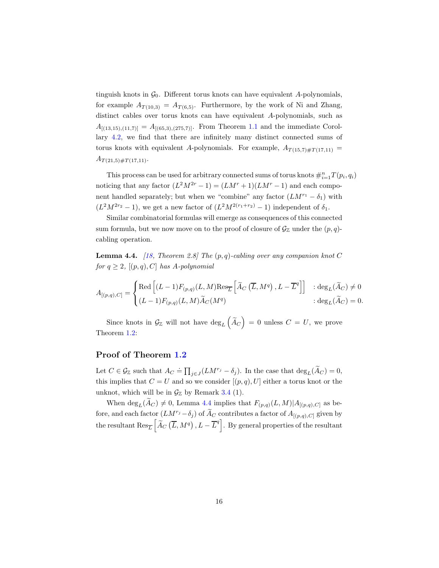tinguish knots in  $\mathcal{G}_0$ . Different torus knots can have equivalent A-polynomials, for example  $A_{T(10,3)} = A_{T(6,5)}$ . Furthermore, by the work of Ni and Zhang, distinct cables over torus knots can have equivalent A-polynomials, such as  $A_{[(13,15),(11,7)]} = A_{[(65,3),(275,7)]}$ . From Theorem [1.1](#page-2-1) and the immediate Corollary [4.2,](#page-14-0) we find that there are infinitely many distinct connected sums of torus knots with equivalent A-polynomials. For example,  $A_{T(15,7)\#T(17,11)}$  =  $A_{T(21,5)\#T(17,11)}$ .

This process can be used for arbitrary connected sums of torus knots  $\#_{i=1}^n T(p_i, q_i)$ noticing that any factor  $(L^2M^{2r}-1) = (LM^r+1)(LM^r-1)$  and each component handled separately; but when we "combine" any factor  $(LM^{r_1} - \delta_1)$  with  $(L^2M^{2r_2}-1)$ , we get a new factor of  $(L^2M^{2(r_1+r_2)}-1)$  independent of  $\delta_1$ .

Similar combinatorial formulas will emerge as consequences of this connected sum formula, but we now move on to the proof of closure of  $\mathcal{G}_{\mathbb{Z}}$  under the  $(p, q)$ cabling operation.

<span id="page-15-0"></span>Lemma 4.4. *[\[18,](#page-45-0) Theorem 2.8] The* (p, q)*-cabling over any companion knot* C *for*  $q \geq 2$ *,*  $[(p, q), C]$  *has A*-polynomial

$$
A_{[(p,q),C]} = \begin{cases} \text{Red}\left[ (L-1)F_{(p,q)}(L,M)\text{Res}_{\overline{L}}\left[ \tilde{A}_C\left( \overline{L},M^q \right), L - \overline{L}^q \right] \right] & : \text{deg}_L(\tilde{A}_C) \neq 0 \\ (L-1)F_{(p,q)}(L,M)\tilde{A}_C(M^q) & : \text{deg}_L(\tilde{A}_C) = 0. \end{cases}
$$

Since knots in  $\mathcal{G}_{\mathbb{Z}}$  will not have  $\deg_L(\widetilde{A}_C) = 0$  unless  $C = U$ , we prove Theorem [1.2:](#page-2-2)

### Proof of Theorem [1.2](#page-2-2)

Let  $C \in \mathcal{G}_{\mathbb{Z}}$  such that  $A_C \doteq \prod_{j \in J} (LM^{r_j} - \delta_j)$ . In the case that  $\deg_L(\widetilde{A}_C) = 0$ , this implies that  $C = U$  and so we consider  $[(p, q), U]$  either a torus knot or the unknot, which will be in  $\mathcal{G}_{\mathbb{Z}}$  by Remark [3.4](#page-11-0) (1).

When  $\deg_L(\widetilde{A}_C) \neq 0$ , Lemma [4.4](#page-15-0) implies that  $F_{(p,q)}(L,M)|A_{[(p,q),C]}$  as before, and each factor  $(LM^{r_j}-\delta_j)$  of  $\widetilde{A}_C$  contributes a factor of  $A_{[(p,q),C]}$  given by the resultant  $\text{Res}_{\overline{L}}\left[\widetilde{A}_C\left(\overline{L},M^q\right),L-\overline{L}^q\right]$ . By general properties of the resultant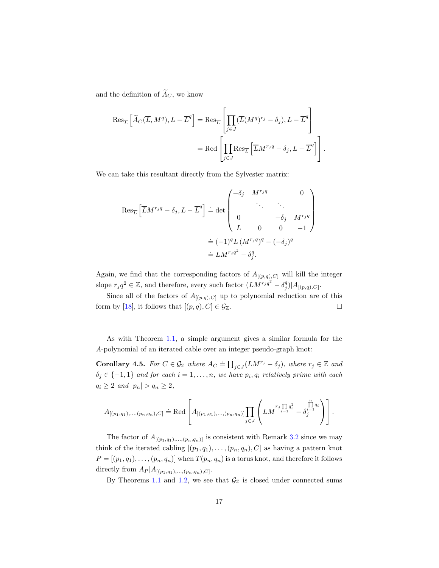and the definition of  $\widetilde{A}_C$ , we know

$$
\operatorname{Res}_{\overline{L}}\left[\widetilde{A}_{C}(\overline{L},M^q),L-\overline{L}^q\right] = \operatorname{Res}_{\overline{L}}\left[\prod_{j\in J}(\overline{L}(M^q)^{r_j}-\delta_j),L-\overline{L}^q\right]
$$

$$
= \operatorname{Red}\left[\prod_{j\in J}\operatorname{Res}_{\overline{L}}\left[\overline{L}M^{r_jq}-\delta_j,L-\overline{L}^q\right]\right].
$$

We can take this resultant directly from the Sylvester matrix:

$$
\operatorname{Res}_{\overline{L}}\left[\overline{L}M^{r_j q} - \delta_j, L - \overline{L}^q\right] \doteq \det \begin{pmatrix} -\delta_j & M^{r_j q} & 0 \\ \cdot & \cdot & \cdot \\ 0 & -\delta_j & M^{r_j q} \\ L & 0 & 0 & -1 \end{pmatrix}
$$

$$
\doteq (-1)^q L \left(M^{r_j q}\right)^q - (-\delta_j)^q
$$

$$
\doteq LM^{r_j q^2} - \delta_j^q.
$$

Again, we find that the corresponding factors of  $A_{[(p,q),C]}$  will kill the integer slope  $r_j q^2 \in \mathbb{Z}$ , and therefore, every such factor  $(LM^{r_j q^2} - \delta_j^q)|A_{[(p,q),C]}$ .

Since all of the factors of  $A_{[(p,q),C]}$  up to polynomial reduction are of this form by [\[18\]](#page-45-0), it follows that  $[(p,q), C] \in \mathcal{G}_{\mathbb{Z}}$ .

As with Theorem [1.1,](#page-2-1) a simple argument gives a similar formula for the A-polynomial of an iterated cable over an integer pseudo-graph knot:

**Corollary 4.5.** For  $C \in \mathcal{G}_{\mathbb{Z}}$  where  $A_C \doteq \prod_{j \in J} (LM^{r_j} - \delta_j)$ , where  $r_j \in \mathbb{Z}$  and  $\delta_j \in \{-1,1\}$  and for each  $i=1,\ldots,n$ , we have  $p_i,q_i$  relatively prime with each  $q_i \geq 2$  *and*  $|p_n| > q_n \geq 2$ ,

$$
A_{[(p_1,q_1),..., (p_n,q_n),C]} \doteq \text{Red}\left[A_{[(p_1,q_1),..., (p_n,q_n)]}\prod_{j\in J}\left(LM^{r_j\prod\limits_{i=1}^{n}q_i^2}-\delta_j^{\prod\limits_{i=1}^{n}q_i}\right)\right].
$$

The factor of  $A_{[(p_1,q_1),...,(p_n,q_n)]}$  is consistent with Remark [3.2](#page-11-2) since we may think of the iterated cabling  $[(p_1, q_1), \ldots, (p_n, q_n), C]$  as having a pattern knot  $P = [(p_1, q_1), \ldots, (p_n, q_n)]$  when  $T(p_n, q_n)$  is a torus knot, and therefore it follows directly from  $A_P | A_{[(p_1,q_1),...,(p_n,q_n),C]}$ .

By Theorems [1.1](#page-2-1) and [1.2,](#page-2-2) we see that  $\mathcal{G}_{\mathbb{Z}}$  is closed under connected sums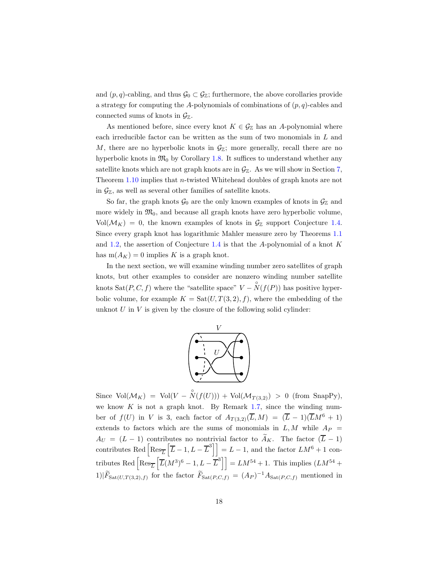and  $(p, q)$ -cabling, and thus  $\mathcal{G}_0 \subset \mathcal{G}_{\mathbb{Z}}$ ; furthermore, the above corollaries provide a strategy for computing the A-polynomials of combinations of  $(p, q)$ -cables and connected sums of knots in  $\mathcal{G}_{\mathbb{Z}}$ .

As mentioned before, since every knot  $K \in \mathcal{G}_{\mathbb{Z}}$  has an A-polynomial where each irreducible factor can be written as the sum of two monomials in L and M, there are no hyperbolic knots in  $\mathcal{G}_{\mathbb{Z}}$ ; more generally, recall there are no hyperbolic knots in  $\mathfrak{M}_0$  by Corollary [1.8.](#page-4-0) It suffices to understand whether any satellite knots which are not graph knots are in  $\mathcal{G}_{\mathbb{Z}}$ . As we will show in Section [7,](#page-35-0) Theorem [1.10](#page-5-0) implies that n-twisted Whitehead doubles of graph knots are not in  $\mathcal{G}_{\mathbb{Z}}$ , as well as several other families of satellite knots.

So far, the graph knots  $\mathcal{G}_0$  are the only known examples of knots in  $\mathcal{G}_\mathbb{Z}$  and more widely in  $\mathfrak{M}_0$ , and because all graph knots have zero hyperbolic volume,  $Vol(\mathcal{M}_K) = 0$ , the known examples of knots in  $\mathcal{G}_{\mathbb{Z}}$  support Conjecture [1.4.](#page-2-3) Since every graph knot has logarithmic Mahler measure zero by Theorems [1.1](#page-2-1) and [1.2,](#page-2-2) the assertion of Conjecture [1.4](#page-2-3) is that the A-polynomial of a knot  $K$ has  $m(A_K) = 0$  implies K is a graph knot.

In the next section, we will examine winding number zero satellites of graph knots, but other examples to consider are nonzero winding number satellite knots  $\text{Sat}(P, C, f)$  where the "satellite space"  $V - \overset{\circ}{N}(f(P))$  has positive hyperbolic volume, for example  $K = \text{Sat}(U, T(3, 2), f)$ , where the embedding of the unknot  $U$  in  $V$  is given by the closure of the following solid cylinder:



Since  $\text{Vol}(\mathcal{M}_K) = \text{Vol}(V - \overset{\circ}{N}(f(U))) + \text{Vol}(\mathcal{M}_{T(3,2)}) > 0$  (from SnapPy), we know  $K$  is not a graph knot. By Remark [1.7,](#page-3-1) since the winding number of  $f(U)$  in V is 3, each factor of  $A_{T(3,2)}(\overline{L}, M) = (\overline{L} - 1)(\overline{L}M^6 + 1)$ extends to factors which are the sums of monomials in  $L, M$  while  $Ap =$  $A_U = (L - 1)$  contributes no nontrivial factor to  $\widetilde{A}_K$ . The factor  $(\overline{L} - 1)$ contributes Red  $\left[\text{Res}_{\overline{L}}\left[\overline{L}-1,L-\overline{L}^3\right]\right] = L-1$ , and the factor  $LM^6 + 1$  contributes Red  $\left[\text{Res}_{\overline{L}}\left[\overline{L}(M^3)^6 - 1, L - \overline{L}^3\right]\right] = LM^{54} + 1$ . This implies  $(LM^{54} +$ 1)| $\hat{F}_{\text{Sat}(U,T(3,2),f)}$  for the factor  $\hat{F}_{\text{Sat}(P,C,f)} = (A_P)^{-1} A_{\text{Sat}(P,C,f)}$  mentioned in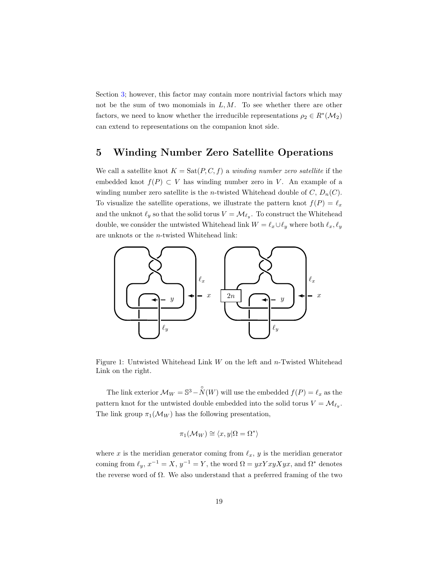Section [3;](#page-9-0) however, this factor may contain more nontrivial factors which may not be the sum of two monomials in  $L, M$ . To see whether there are other factors, we need to know whether the irreducible representations  $\rho_2 \in R^*(\mathcal{M}_2)$ can extend to representations on the companion knot side.

### <span id="page-18-0"></span>5 Winding Number Zero Satellite Operations

We call a satellite knot  $K = \text{Sat}(P, C, f)$  a *winding number zero satellite* if the embedded knot  $f(P) \subset V$  has winding number zero in V. An example of a winding number zero satellite is the *n*-twisted Whitehead double of C,  $D_n(C)$ . To visualize the satellite operations, we illustrate the pattern knot  $f(P) = \ell_x$ and the unknot  $\ell_y$  so that the solid torus  $V = \mathcal{M}_{\ell_y}$ . To construct the Whitehead double, we consider the untwisted Whitehead link  $W = \ell_x \cup \ell_y$  where both  $\ell_x, \ell_y$ are unknots or the n-twisted Whitehead link:

<span id="page-18-1"></span>

Figure 1: Untwisted Whitehead Link  $W$  on the left and  $n$ -Twisted Whitehead Link on the right.

The link exterior  $\mathcal{M}_W = \mathbb{S}^3 - \overset{\circ}{N}(W)$  will use the embedded  $f(P) = \ell_x$  as the pattern knot for the untwisted double embedded into the solid torus  $V = \mathcal{M}_{\ell_y}$ . The link group  $\pi_1(\mathcal{M}_W)$  has the following presentation,

$$
\pi_1(\mathcal{M}_W) \cong \langle x, y | \Omega = \Omega^* \rangle
$$

where x is the meridian generator coming from  $\ell_x$ , y is the meridian generator coming from  $\ell_y$ ,  $x^{-1} = X$ ,  $y^{-1} = Y$ , the word  $\Omega = yxYxyXyx$ , and  $\Omega^*$  denotes the reverse word of  $\Omega$ . We also understand that a preferred framing of the two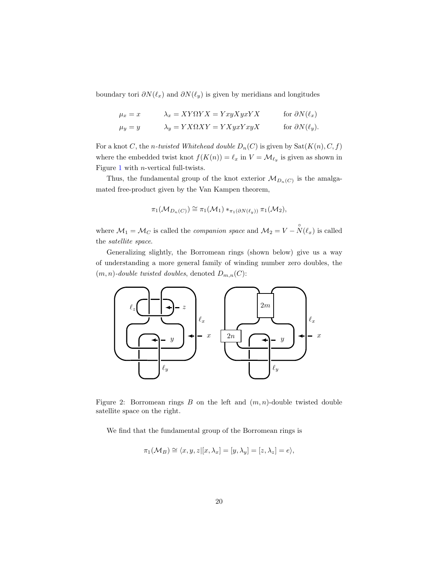boundary tori  $\partial N(\ell_x)$  and  $\partial N(\ell_y)$  is given by meridians and longitudes

$$
\mu_x = x \qquad \lambda_x = XY\Omega YX = YxyXyxYX \qquad \text{for } \partial N(\ell_x)
$$
  

$$
\mu_y = y \qquad \lambda_y = YX\Omega XY = YXyxYxyX \qquad \text{for } \partial N(\ell_y).
$$

For a knot C, the *n*-twisted Whitehead double  $D_n(C)$  is given by  $\text{Sat}(K(n), C, f)$ where the embedded twist knot  $f(K(n)) = \ell_x$  in  $V = \mathcal{M}_{\ell_y}$  is given as shown in Figure [1](#page-18-1) with n-vertical full-twists.

Thus, the fundamental group of the knot exterior  $\mathcal{M}_{D_n(C)}$  is the amalgamated free-product given by the Van Kampen theorem,

$$
\pi_1(\mathcal{M}_{D_n(C)}) \cong \pi_1(\mathcal{M}_1) *_{\pi_1(\partial N(\ell_y))} \pi_1(\mathcal{M}_2),
$$

where  $\mathcal{M}_1 = \mathcal{M}_C$  is called the *companion space* and  $\mathcal{M}_2 = V - \overset{\circ}{N}(\ell_x)$  is called the *satellite space*.

Generalizing slightly, the Borromean rings (shown below) give us a way of understanding a more general family of winding number zero doubles, the  $(m, n)$ -double twisted doubles, denoted  $D_{m,n}(C)$ :



Figure 2: Borromean rings  $B$  on the left and  $(m, n)$ -double twisted double satellite space on the right.

We find that the fundamental group of the Borromean rings is

$$
\pi_1(\mathcal{M}_B) \cong \langle x, y, z | [x, \lambda_x] = [y, \lambda_y] = [z, \lambda_z] = e \rangle,
$$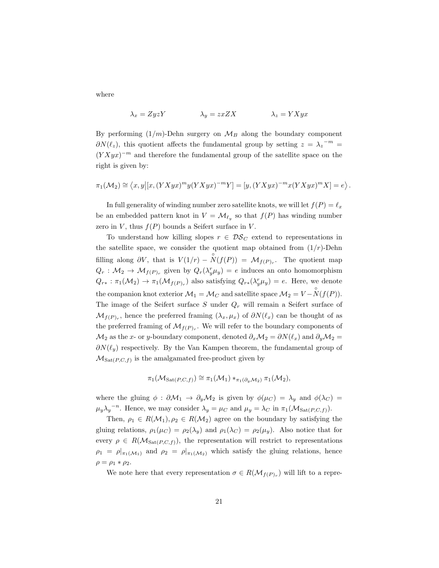where

$$
\lambda_x = ZyzY \qquad \qquad \lambda_y = zxZX \qquad \qquad \lambda_z = YXyx
$$

By performing  $(1/m)$ -Dehn surgery on  $\mathcal{M}_B$  along the boundary component  $\partial N(\ell_z)$ , this quotient affects the fundamental group by setting  $z = \lambda_z^{-m}$  $(YXyx)^{-m}$  and therefore the fundamental group of the satellite space on the right is given by:

$$
\pi_1(\mathcal{M}_2) \cong \left\langle x, y \big| [x, (YXyx)^m y (YXyx)^{-m} Y] = [y, (YXyx)^{-m} x (YXyx)^m X] = e \right\rangle.
$$

In full generality of winding number zero satellite knots, we will let  $f(P) = \ell_x$ be an embedded pattern knot in  $V = \mathcal{M}_{\ell_y}$  so that  $f(P)$  has winding number zero in V, thus  $f(P)$  bounds a Seifert surface in V.

To understand how killing slopes  $r \in \mathcal{DS}_C$  extend to representations in the satellite space, we consider the quotient map obtained from  $(1/r)$ -Dehn filling along  $\partial V$ , that is  $V(1/r) - \overset{\circ}{N}(f(P)) = M_{f(P)_r}$ . The quotient map  $Q_r: \mathcal{M}_2 \to \mathcal{M}_{f(P)_r}$  given by  $Q_r(\lambda_y^r \mu_y) = e$  induces an onto homomorphism  $Q_{r*} : \pi_1(\mathcal{M}_2) \to \pi_1(\mathcal{M}_{f(P)_r})$  also satisfying  $Q_{r*}(\lambda_y^r \mu_y) = e$ . Here, we denote the companion knot exterior  $\mathcal{M}_1 = \mathcal{M}_C$  and satellite space  $\mathcal{M}_2 = V - \overset{\circ}{N}(f(P)).$ The image of the Seifert surface  $S$  under  $Q_r$  will remain a Seifert surface of  $\mathcal{M}_{f(P)_r}$ , hence the preferred framing  $(\lambda_x, \mu_x)$  of  $\partial N(\ell_x)$  can be thought of as the preferred framing of  $\mathcal{M}_{f(P)_r}$ . We will refer to the boundary components of  $\mathcal{M}_2$  as the x- or y-boundary component, denoted  $\partial_x \mathcal{M}_2 = \partial N(\ell_x)$  and  $\partial_y \mathcal{M}_2 =$  $\partial N(\ell_y)$  respectively. By the Van Kampen theorem, the fundamental group of  $\mathcal{M}_{\text{Sat}(P,C,f)}$  is the amalgamated free-product given by

$$
\pi_1(\mathcal{M}_{\mathrm{Sat}(P,C,f)}) \cong \pi_1(\mathcal{M}_1) *_{\pi_1(\partial_y \mathcal{M}_2)} \pi_1(\mathcal{M}_2),
$$

where the gluing  $\phi : \partial \mathcal{M}_1 \to \partial_y \mathcal{M}_2$  is given by  $\phi(\mu_C) = \lambda_y$  and  $\phi(\lambda_C) =$  $\mu_y \lambda_y^{-n}$ . Hence, we may consider  $\lambda_y = \mu_C$  and  $\mu_y = \lambda_C$  in  $\pi_1(\mathcal{M}_{\text{Sat}(P,C,f)})$ .

Then,  $\rho_1 \in R(\mathcal{M}_1), \rho_2 \in R(\mathcal{M}_2)$  agree on the boundary by satisfying the gluing relations,  $\rho_1(\mu_C) = \rho_2(\lambda_y)$  and  $\rho_1(\lambda_C) = \rho_2(\mu_y)$ . Also notice that for every  $\rho \in R(\mathcal{M}_{\text{Sat}(P,C,f)})$ , the representation will restrict to representations  $\rho_1 = \rho|_{\pi_1(\mathcal{M}_1)}$  and  $\rho_2 = \rho|_{\pi_1(\mathcal{M}_2)}$  which satisfy the gluing relations, hence  $\rho = \rho_1 * \rho_2.$ 

We note here that every representation  $\sigma \in R(\mathcal{M}_{f(P)_r})$  will lift to a repre-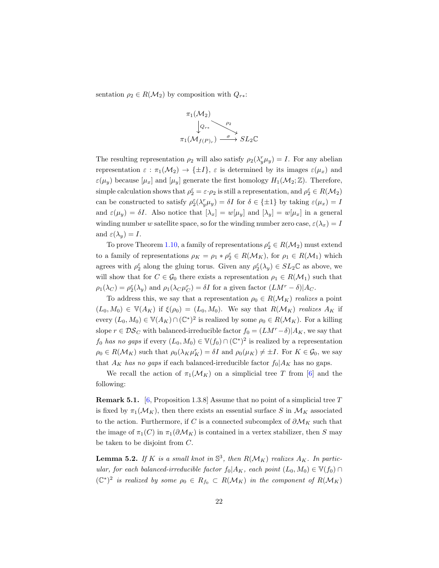sentation  $\rho_2 \in R(\mathcal{M}_2)$  by composition with  $Q_{r*}$ :



The resulting representation  $\rho_2$  will also satisfy  $\rho_2(\lambda_y^r \mu_y) = I$ . For any abelian representation  $\varepsilon : \pi_1(\mathcal{M}_2) \to {\pm I}$ ,  $\varepsilon$  is determined by its images  $\varepsilon(\mu_x)$  and  $\varepsilon(\mu_y)$  because  $[\mu_x]$  and  $[\mu_y]$  generate the first homology  $H_1(\mathcal{M}_2;\mathbb{Z})$ . Therefore, simple calculation shows that  $\rho_2^{\varepsilon} = \varepsilon \cdot \rho_2$  is still a representation, and  $\rho_2^{\varepsilon} \in R(\mathcal{M}_2)$ can be constructed to satisfy  $\rho_2^{\varepsilon}(\lambda_y^r \mu_y) = \delta I$  for  $\delta \in {\pm 1}$  by taking  $\varepsilon(\mu_x) = I$ and  $\varepsilon(\mu_y) = \delta I$ . Also notice that  $[\lambda_x] = w[\mu_y]$  and  $[\lambda_y] = w[\mu_x]$  in a general winding number w satellite space, so for the winding number zero case,  $\varepsilon(\lambda_x) = I$ and  $\varepsilon(\lambda_u) = I$ .

To prove Theorem [1.10,](#page-5-0) a family of representations  $\rho_2^{\varepsilon} \in R(\mathcal{M}_2)$  must extend to a family of representations  $\rho_K = \rho_1 * \rho_2^{\varepsilon} \in R(\mathcal{M}_K)$ , for  $\rho_1 \in R(\mathcal{M}_1)$  which agrees with  $\rho_2^{\varepsilon}$  along the gluing torus. Given any  $\rho_2^{\varepsilon}(\lambda_y) \in SL_2\mathbb{C}$  as above, we will show that for  $C \in \mathcal{G}_0$  there exists a representation  $\rho_1 \in R(\mathcal{M}_1)$  such that  $\rho_1(\lambda_C) = \rho_2^{\varepsilon}(\lambda_y)$  and  $\rho_1(\lambda_C \mu_C^r) = \delta I$  for a given factor  $(LM^r - \delta)|A_C$ .

To address this, we say that a representation  $\rho_0 \in R(\mathcal{M}_K)$  *realizes* a point  $(L_0, M_0) \in \mathbb{V}(A_K)$  if  $\xi(\rho_0) = (L_0, M_0)$ . We say that  $R(\mathcal{M}_K)$  *realizes*  $A_K$  if every  $(L_0, M_0) \in \mathbb{V}(A_K) \cap (\mathbb{C}^*)^2$  is realized by some  $\rho_0 \in R(\mathcal{M}_K)$ . For a killing slope  $r \in \mathcal{DS}_C$  with balanced-irreducible factor  $f_0 = (LM^r - \delta)|A_K$ , we say that  $f_0$  *has no gaps* if every  $(L_0, M_0) \in V(f_0) \cap (C^*)^2$  is realized by a representation  $\rho_0 \in R(\mathcal{M}_K)$  such that  $\rho_0(\lambda_K \mu_K^r) = \delta I$  and  $\rho_0(\mu_K) \neq \pm I$ . For  $K \in \mathcal{G}_0$ , we say that  $A_K$  *has no gaps* if each balanced-irreducible factor  $f_0|A_K$  has no gaps.

We recall the action of  $\pi_1(\mathcal{M}_K)$  on a simplicial tree T from [\[6\]](#page-44-8) and the following:

<span id="page-21-0"></span>**Remark 5.1.** [\[6,](#page-44-8) Proposition 1.3.8] Assume that no point of a simplicial tree T is fixed by  $\pi_1(\mathcal{M}_K)$ , then there exists an essential surface S in  $\mathcal{M}_K$  associated to the action. Furthermore, if C is a connected subcomplex of  $\partial \mathcal{M}_K$  such that the image of  $\pi_1(C)$  in  $\pi_1(\partial \mathcal{M}_K)$  is contained in a vertex stabilizer, then S may be taken to be disjoint from C.

**Lemma 5.2.** If K is a small knot in  $\mathbb{S}^3$ , then  $R(\mathcal{M}_K)$  realizes  $A_K$ . In partic*ular, for each balanced-irreducible factor*  $f_0|A_K$ *, each point*  $(L_0, M_0) \in V(f_0) \cap$  $({\mathbb C}^*)^2$  *is realized by some*  $\rho_0 \in R_{f_0} \subset R(\mathcal{M}_K)$  *in the component of*  $R(\mathcal{M}_K)$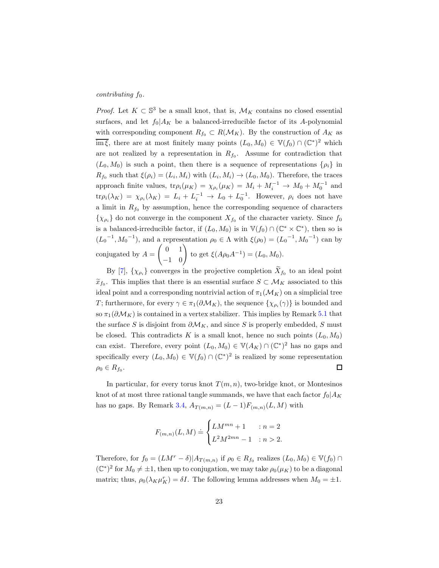#### *contributing*  $f_0$ *.*

*Proof.* Let  $K \subset \mathbb{S}^3$  be a small knot, that is,  $\mathcal{M}_K$  contains no closed essential surfaces, and let  $f_0|A_K$  be a balanced-irreducible factor of its A-polynomial with corresponding component  $R_{f_0} \subset R(\mathcal{M}_K)$ . By the construction of  $A_K$  as  $\overline{\text{im }\xi}$ , there are at most finitely many points  $(L_0, M_0) \in V(f_0) \cap (\mathbb{C}^*)^2$  which are not realized by a representation in  $R_{f_0}$ . Assume for contradiction that  $(L_0, M_0)$  is such a point, then there is a sequence of representations  $\{\rho_i\}$  in  $R_{f_0}$  such that  $\xi(\rho_i) = (L_i, M_i)$  with  $(L_i, M_i) \to (L_0, M_0)$ . Therefore, the traces approach finite values,  $tr \rho_i(\mu_K) = \chi_{\rho_i}(\mu_K) = M_i + M_i^{-1} \to M_0 + M_0^{-1}$  and  $\text{tr}\rho_i(\lambda_K) = \chi_{\rho_i}(\lambda_K) = L_i + L_i^{-1} \to L_0 + L_0^{-1}$ . However,  $\rho_i$  does not have a limit in  $R_{f_0}$  by assumption, hence the corresponding sequence of characters  $\{\chi_{\rho_i}\}\$  do not converge in the component  $X_{f_0}$  of the character variety. Since  $f_0$ is a balanced-irreducible factor, if  $(L_0, M_0)$  is in  $\mathbb{V}(f_0) \cap (\mathbb{C}^* \times \mathbb{C}^*)$ , then so is  $(L_0^{-1}, M_0^{-1})$ , and a representation  $\rho_0 \in \Lambda$  with  $\xi(\rho_0) = (L_0^{-1}, M_0^{-1})$  can by conjugated by  $A =$  $\begin{pmatrix} 0 & 1 \\ -1 & 0 \end{pmatrix}$  to get  $\xi(A\rho_0 A^{-1}) = (L_0, M_0)$ .

By [\[7\]](#page-44-9),  $\{\chi_{\rho_i}\}\$  converges in the projective completion  $X_{f_0}$  to an ideal point  $\widetilde{x}_{f_0}$ . This implies that there is an essential surface  $S \subset \mathcal{M}_K$  associated to this ideal point and a corresponding nontrivial action of  $\pi_1(\mathcal{M}_K)$  on a simplicial tree T; furthermore, for every  $\gamma \in \pi_1(\partial \mathcal{M}_K)$ , the sequence  $\{\chi_{\rho_i}(\gamma)\}\$ is bounded and so  $\pi_1(\partial \mathcal{M}_K)$  is contained in a vertex stabilizer. This implies by Remark [5.1](#page-21-0) that the surface S is disjoint from  $\partial \mathcal{M}_K$ , and since S is properly embedded, S must be closed. This contradicts K is a small knot, hence no such points  $(L_0, M_0)$ can exist. Therefore, every point  $(L_0, M_0) \in V(A_K) \cap (\mathbb{C}^*)^2$  has no gaps and specifically every  $(L_0, M_0) \in V(f_0) \cap (C^*)^2$  is realized by some representation  $\Box$  $\rho_0 \in R_{f_0}.$ 

In particular, for every torus knot  $T(m, n)$ , two-bridge knot, or Montesinos knot of at most three rational tangle summands, we have that each factor  $f_0|A_K$ has no gaps. By Remark [3.4,](#page-11-0)  $A_{T(m,n)} = (L-1)F_{(m,n)}(L,M)$  with

$$
F_{(m,n)}(L,M)\doteq \begin{cases} LM^{mn}+1&:n=2\\ L^2M^{2mn}-1&:n>2.\end{cases}
$$

Therefore, for  $f_0 = (LM^r - \delta)|A_{T(m,n)}$  if  $\rho_0 \in R_{f_0}$  realizes  $(L_0, M_0) \in V(f_0) \cap I$  $(\mathbb{C}^*)^2$  for  $M_0 \neq \pm 1$ , then up to conjugation, we may take  $\rho_0(\mu_K)$  to be a diagonal matrix; thus,  $\rho_0(\lambda_K \mu_K^r) = \delta I$ . The following lemma addresses when  $M_0 = \pm 1$ .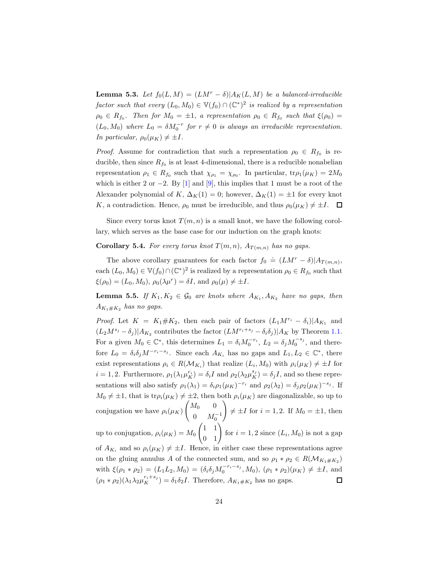**Lemma 5.3.** Let  $f_0(L, M) = (LM^r - \delta)|A_K(L, M)$  be a balanced-irreducible  $factor \; such \; that \; every \; (L_0, M_0) \in V(f_0) \cap (\mathbb{C}^*)^2 \; is \; realized \; by \; a \; representation$  $\rho_0 \in R_{f_0}$ . Then for  $M_0 = \pm 1$ , a representation  $\rho_0 \in R_{f_0}$  such that  $\xi(\rho_0) =$  $(L_0, M_0)$  where  $L_0 = \delta M_0^{-r}$  for  $r \neq 0$  is always an irreducible representation. *In particular,*  $\rho_0(\mu_K) \neq \pm I$ *.* 

*Proof.* Assume for contradiction that such a representation  $\rho_0 \in R_{f_0}$  is reducible, then since  $R_{f_0}$  is at least 4-dimensional, there is a reducible nonabelian representation  $\rho_1 \in R_{f_0}$  such that  $\chi_{\rho_1} = \chi_{\rho_0}$ . In particular,  $\text{tr}\rho_1(\mu_K) = 2M_0$ which is either 2 or  $-2$ . By [\[1\]](#page-43-2) and [\[9\]](#page-44-10), this implies that 1 must be a root of the Alexander polynomial of K,  $\Delta_K(1) = 0$ ; however,  $\Delta_K(1) = \pm 1$  for every knot K, a contradiction. Hence,  $\rho_0$  must be irreducible, and thus  $\rho_0(\mu_K) \neq \pm I$ .  $\Box$ 

Since every torus knot  $T(m, n)$  is a small knot, we have the following corollary, which serves as the base case for our induction on the graph knots:

<span id="page-23-0"></span>**Corollary 5.4.** For every torus knot  $T(m, n)$ ,  $A_{T(m,n)}$  has no gaps.

The above corollary guarantees for each factor  $f_0 \doteq (LM^r - \delta)|A_{T(m,n)},$ each  $(L_0, M_0) \in V(f_0) \cap (\mathbb{C}^*)^2$  is realized by a representation  $\rho_0 \in R_{f_0}$  such that  $\xi(\rho_0) = (L_0, M_0), \, \rho_0(\lambda \mu^r) = \delta I$ , and  $\rho_0(\mu) \neq \pm I$ .

<span id="page-23-1"></span>**Lemma 5.5.** If  $K_1, K_2 \in \mathcal{G}_0$  are knots where  $A_{K_1}, A_{K_2}$  have no gaps, then  $A_{K_1 \# K_2}$  *has no gaps.* 

*Proof.* Let  $K = K_1 \# K_2$ , then each pair of factors  $(L_1 M^{r_i} - \delta_i)|A_{K_1}$  and  $(L_2M^{s_j}-\delta_j)|A_{K_2}$  contributes the factor  $(LM^{r_i+s_j}-\delta_i\delta_j)|A_K$  by Theorem [1.1.](#page-2-1) For a given  $M_0 \in \mathbb{C}^*$ , this determines  $L_1 = \delta_i M_0^{-r_i}$ ,  $L_2 = \delta_j M_0^{-s_j}$ , and therefore  $L_0 = \delta_i \delta_j M^{-r_i - s_j}$ . Since each  $A_{K_i}$  has no gaps and  $L_1, L_2 \in \mathbb{C}^*$ , there exist representations  $\rho_i \in R(\mathcal{M}_{K_i})$  that realize  $(L_i, M_0)$  with  $\rho_i(\mu_K) \neq \pm I$  for  $i = 1, 2$ . Furthermore,  $\rho_1(\lambda_1 \mu_K^{r_i}) = \delta_i I$  and  $\rho_2(\lambda_2 \mu_K^{s_j}) = \delta_j I$ , and so these representations will also satisfy  $\rho_1(\lambda_1) = \delta_i \rho_1(\mu_K)^{-r_i}$  and  $\rho_2(\lambda_2) = \delta_j \rho_2(\mu_K)^{-s_j}$ . If  $M_0 \neq \pm 1$ , that is tr $\rho_i(\mu_K) \neq \pm 2$ , then both  $\rho_i(\mu_K)$  are diagonalizable, so up to  $\begin{pmatrix} M_0 & 0 \end{pmatrix}$  $\setminus$ conjugation we have  $\rho_i(\mu_K)$  $\neq \pm I$  for  $i = 1, 2$ . If  $M_0 = \pm 1$ , then 0  $M_0^{-1}$  $\begin{pmatrix} 1 & 1 \\ 0 & 1 \end{pmatrix}$  for  $i = 1, 2$  since  $(L_i, M_0)$  is not a gap up to conjugation,  $\rho_i(\mu_K) = M_0$ of  $A_{K_i}$  and so  $\rho_i(\mu_K) \neq \pm I$ . Hence, in either case these representations agree on the gluing annulus A of the connected sum, and so  $\rho_1 * \rho_2 \in R(\mathcal{M}_{K_1 \# K_2})$ with  $\xi(\rho_1 * \rho_2) = (L_1 L_2, M_0) = (\delta_i \delta_j M_0^{-r_i - s_j}, M_0), (\rho_1 * \rho_2)(\mu_K) \neq \pm I$ , and  $(\rho_1 * \rho_2)(\lambda_1 \lambda_2 \mu_K^{r_i + s_j}) = \delta_1 \delta_2 I$ . Therefore,  $A_{K_1 \# K_2}$  has no gaps.  $\Box$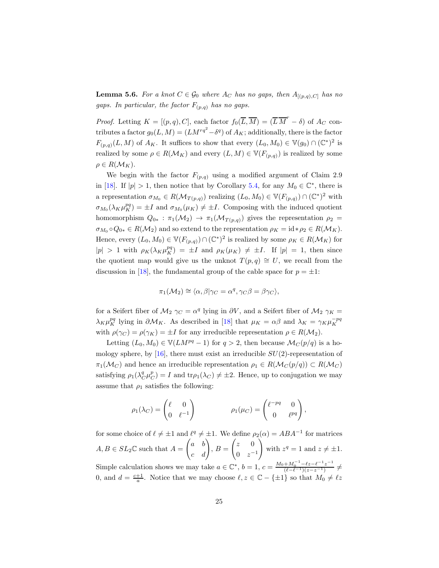<span id="page-24-0"></span>**Lemma 5.6.** *For a knot*  $C \in \mathcal{G}_0$  *where*  $A_C$  *has no gaps, then*  $A_{[(p,q),C]}$  *has no gaps. In particular, the factor*  $F_{(p,q)}$  *has no gaps.* 

*Proof.* Letting  $K = [(p, q), C]$ , each factor  $f_0(\overline{L}, \overline{M}) = (\overline{L} \overline{M}^r - \delta)$  of  $A_C$  contributes a factor  $g_0(L, M) = (LM^{rq^2} - \delta^q)$  of  $A_K$ ; additionally, there is the factor  $F_{(p,q)}(L,M)$  of  $A_K$ . It suffices to show that every  $(L_0, M_0) \in \mathbb{V}(g_0) \cap (\mathbb{C}^*)^2$  is realized by some  $\rho \in R(\mathcal{M}_K)$  and every  $(L, M) \in \mathbb{V}(F_{(p,q)})$  is realized by some  $\rho \in R(\mathcal{M}_K)$ .

We begin with the factor  $F_{(p,q)}$  using a modified argument of Claim 2.9 in [\[18\]](#page-45-0). If  $|p| > 1$ , then notice that by Corollary [5.4,](#page-23-0) for any  $M_0 \in \mathbb{C}^*$ , there is a representation  $\sigma_{M_0} \in R(\mathcal{M}_{T(p,q)})$  realizing  $(L_0, M_0) \in \mathbb{V}(F_{(p,q)}) \cap (\mathbb{C}^*)^2$  with  $\sigma_{M_0}(\lambda_K \mu_K^{pq}) = \pm I$  and  $\sigma_{M_0}(\mu_K) \neq \pm I$ . Composing with the induced quotient homomorphism  $Q_{0*} : \pi_1(M_2) \to \pi_1(M_{T(p,q)})$  gives the representation  $\rho_2 =$  $\sigma_{M_0} \circ Q_{0*} \in R(\mathcal{M}_2)$  and so extend to the representation  $\rho_K = id * \rho_2 \in R(\mathcal{M}_K)$ . Hence, every  $(L_0, M_0) \in V(F_{(p,q)}) \cap (\mathbb{C}^*)^2$  is realized by some  $\rho_K \in R(\mathcal{M}_K)$  for  $|p| > 1$  with  $\rho_K(\lambda_K \mu_K^{pq}) = \pm I$  and  $\rho_K(\mu_K) \neq \pm I$ . If  $|p| = 1$ , then since the quotient map would give us the unknot  $T(p,q) \cong U$ , we recall from the discussion in [\[18\]](#page-45-0), the fundamental group of the cable space for  $p = \pm 1$ :

$$
\pi_1(\mathcal{M}_2) \cong \langle \alpha, \beta | \gamma_C = \alpha^q, \gamma_C \beta = \beta \gamma_C \rangle,
$$

for a Seifert fiber of  $\mathcal{M}_2 \gamma_C = \alpha^q$  lying in  $\partial V$ , and a Seifert fiber of  $\mathcal{M}_2 \gamma_K =$  $\lambda_K \mu_K^{pq}$  lying in  $\partial \mathcal{M}_K$ . As described in [\[18\]](#page-45-0) that  $\mu_K = \alpha \beta$  and  $\lambda_K = \gamma_K \mu_K^{-pq}$ with  $\rho(\gamma_C) = \rho(\gamma_K) = \pm I$  for any irreducible representation  $\rho \in R(\mathcal{M}_2)$ .

Letting  $(L_0, M_0) \in V(LM^{pq} - 1)$  for  $q > 2$ , then because  $\mathcal{M}_C(p/q)$  is a homology sphere, by  $[16]$ , there must exist an irreducible  $SU(2)$ -representation of  $\pi_1(\mathcal{M}_C)$  and hence an irreducible representation  $\rho_1 \in R(\mathcal{M}_C(p/q)) \subset R(\mathcal{M}_C)$ satisfying  $\rho_1(\lambda_C^q \mu_C^p) = I$  and  $\text{tr}\rho_1(\lambda_C) \neq \pm 2$ . Hence, up to conjugation we may assume that  $\rho_1$  satisfies the following:

$$
\rho_1(\lambda_C) = \begin{pmatrix} \ell & 0 \\ 0 & \ell^{-1} \end{pmatrix} \qquad \qquad \rho_1(\mu_C) = \begin{pmatrix} \ell^{-pq} & 0 \\ 0 & \ell^{pq} \end{pmatrix},
$$

for some choice of  $\ell \neq \pm 1$  and  $\ell^q \neq \pm 1$ . We define  $\rho_2(\alpha) = ABA^{-1}$  for matrices  $A, B \in SL_2\mathbb{C}$  such that  $A =$  $\begin{pmatrix} a & b \\ c & d \end{pmatrix}$ ,  $B =$  $\begin{pmatrix} z & 0 \\ 0 & 0 \end{pmatrix}$  $0 \t z^{-1}$  $\Delta$ with  $z^q = 1$  and  $z \neq \pm 1$ . Simple calculation shows we may take  $a \in \mathbb{C}^*$ ,  $b = 1$ ,  $c = \frac{M_0 + M_0^{-1} - \ell z - \ell^{-1} z^{-1}}{(\ell - \ell^{-1})(z - z^{-1})}$  $\frac{+M_0 - \ell z - \ell z}{(\ell - \ell^{-1})(z-z^{-1})} \neq$ 0, and  $d = \frac{c+1}{a}$ . Notice that we may choose  $\ell, z \in \mathbb{C} - \{\pm 1\}$  so that  $M_0 \neq \ell z$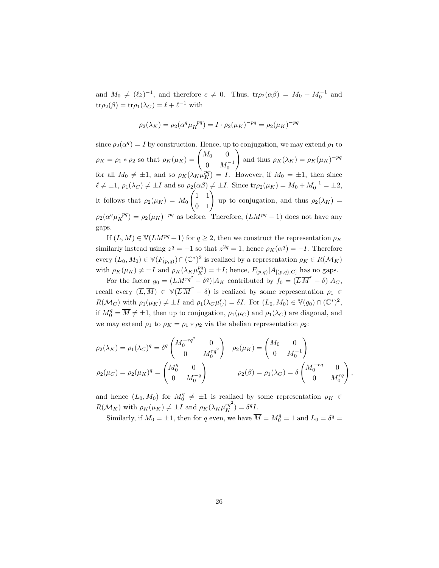and  $M_0 \neq (\ell z)^{-1}$ , and therefore  $c \neq 0$ . Thus,  $tr\rho_2(\alpha \beta) = M_0 + M_0^{-1}$  and  $\text{tr}\rho_2(\beta) = \text{tr}\rho_1(\lambda_C) = \ell + \ell^{-1}$  with

$$
\rho_2(\lambda_K) = \rho_2(\alpha^q \mu_K^{-pq}) = I \cdot \rho_2(\mu_K)^{-pq} = \rho_2(\mu_K)^{-pq}
$$

since  $\rho_2(\alpha^q) = I$  by construction. Hence, up to conjugation, we may extend  $\rho_1$  to  $\rho_K = \rho_1 * \rho_2$  so that  $\rho_K(\mu_K) = \begin{pmatrix} M_0 & 0 \\ 0 & M_0 \end{pmatrix}$ 0  $M_0^{-1}$ ! and thus  $\rho_K(\lambda_K) = \rho_K(\mu_K)^{-pq}$ for all  $M_0 \neq \pm 1$ , and so  $\rho_K(\lambda_K \mu_K^{pq}) = I$ . However, if  $M_0 = \pm 1$ , then since  $\ell \neq \pm 1$ ,  $\rho_1(\lambda_C) \neq \pm I$  and so  $\rho_2(\alpha \beta) \neq \pm I$ . Since  $\text{tr}\rho_2(\mu_K) = M_0 + M_0^{-1} = \pm 2$ , it follows that  $\rho_2(\mu_K) = M_0$  $\begin{pmatrix} 1 & 1 \\ 0 & 1 \end{pmatrix}$  up to conjugation, and thus  $\rho_2(\lambda_K)$  =  $\rho_2(\alpha^q\mu_K^{-pq}) = \rho_2(\mu_K)^{-pq}$  as before. Therefore,  $(LM^{pq}-1)$  does not have any gaps.

If  $(L, M) \in \mathbb{V}(LM^{pq} + 1)$  for  $q \geq 2$ , then we construct the representation  $\rho_K$ similarly instead using  $z^q = -1$  so that  $z^{2q} = 1$ , hence  $\rho_K(\alpha^q) = -I$ . Therefore every  $(L_0, M_0) \in \mathbb{V}(F_{(p,q)}) \cap (\mathbb{C}^*)^2$  is realized by a representation  $\rho_K \in R(\mathcal{M}_K)$ with  $\rho_K(\mu_K) \neq \pm I$  and  $\rho_K(\lambda_K \mu_K^{pq}) = \pm I$ ; hence,  $F_{(p,q)}|A_{[(p,q),C]}$  has no gaps.

For the factor  $g_0 = (LM^{rq^2} - \delta^q)|A_K$  contributed by  $f_0 = (\overline{L}\,\overline{M}^r - \delta)|A_C$ , recall every  $(\overline{L}, \overline{M}) \in \mathbb{V}(\overline{L}\overline{M}^r - \delta)$  is realized by some representation  $\rho_1 \in$  $R(\mathcal{M}_C)$  with  $\rho_1(\mu_K) \neq \pm I$  and  $\rho_1(\lambda_C \mu_C^r) = \delta I$ . For  $(L_0, M_0) \in \mathbb{V}(g_0) \cap (\mathbb{C}^*)^2$ , if  $M_0^q = \overline{M} \neq \pm 1$ , then up to conjugation,  $\rho_1(\mu_C)$  and  $\rho_1(\lambda_C)$  are diagonal, and we may extend  $\rho_1$  to  $\rho_K = \rho_1 * \rho_2$  via the abelian representation  $\rho_2$ :

$$
\rho_2(\lambda_K) = \rho_1(\lambda_C)^q = \delta^q \begin{pmatrix} M_0^{-rq^2} & 0 \\ 0 & M_0^{rq^2} \end{pmatrix} \quad \rho_2(\mu_K) = \begin{pmatrix} M_0 & 0 \\ 0 & M_0^{-1} \end{pmatrix}
$$

$$
\rho_2(\mu_C) = \rho_2(\mu_K)^q = \begin{pmatrix} M_0^q & 0 \\ 0 & M_0^{-q} \end{pmatrix} \qquad \rho_2(\beta) = \rho_1(\lambda_C) = \delta \begin{pmatrix} M_0^{-rq} & 0 \\ 0 & M_0^{rq} \end{pmatrix}
$$

,

and hence  $(L_0, M_0)$  for  $M_0^q \neq \pm 1$  is realized by some representation  $\rho_K \in$  $R(\mathcal{M}_K)$  with  $\rho_K(\mu_K) \neq \pm I$  and  $\rho_K(\lambda_K \mu_K^{rq^2}) = \delta^q I$ .

Similarly, if  $M_0 = \pm 1$ , then for q even, we have  $\overline{M} = M_0^q = 1$  and  $L_0 = \delta^q =$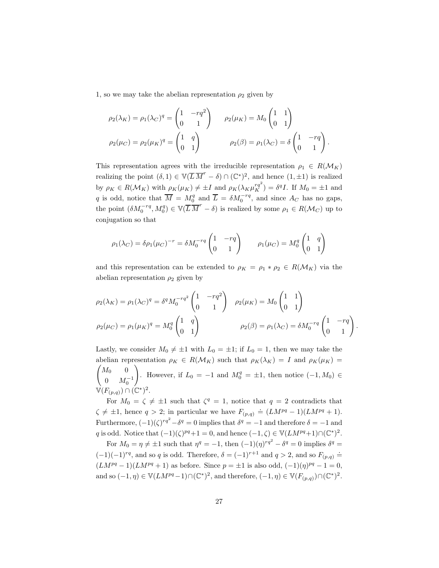1, so we may take the abelian representation  $\rho_2$  given by

$$
\rho_2(\lambda_K) = \rho_1(\lambda_C)^q = \begin{pmatrix} 1 & -rq^2 \\ 0 & 1 \end{pmatrix} \qquad \rho_2(\mu_K) = M_0 \begin{pmatrix} 1 & 1 \\ 0 & 1 \end{pmatrix}
$$

$$
\rho_2(\mu_C) = \rho_2(\mu_K)^q = \begin{pmatrix} 1 & q \\ 0 & 1 \end{pmatrix} \qquad \qquad \rho_2(\beta) = \rho_1(\lambda_C) = \delta \begin{pmatrix} 1 & -rq \\ 0 & 1 \end{pmatrix}.
$$

This representation agrees with the irreducible representation  $\rho_1 \in R(\mathcal{M}_K)$ realizing the point  $(\delta, 1) \in \mathbb{V}(\overline{L} \overline{M}^r - \delta) \cap (\mathbb{C}^*)^2$ , and hence  $(1, \pm 1)$  is realized by  $\rho_K \in R(\mathcal{M}_K)$  with  $\rho_K(\mu_K) \neq \pm I$  and  $\rho_K(\lambda_K \mu_K^{rq^2}) = \delta^q I$ . If  $M_0 = \pm 1$  and q is odd, notice that  $\overline{M} = M_0^q$  and  $\overline{L} = \delta M_0^{-rq}$ , and since  $A_C$  has no gaps, the point  $(\delta M_0^{-rq}, M_0^q) \in \mathbb{V}(\overline{L}\,\overline{M}^r - \delta)$  is realized by some  $\rho_1 \in R(\mathcal{M}_C)$  up to conjugation so that

$$
\rho_1(\lambda_C) = \delta \rho_1(\mu_C)^{-r} = \delta M_0^{-rq} \begin{pmatrix} 1 & -rq \\ 0 & 1 \end{pmatrix} \qquad \rho_1(\mu_C) = M_0^q \begin{pmatrix} 1 & q \\ 0 & 1 \end{pmatrix}
$$

and this representation can be extended to  $\rho_K = \rho_1 * \rho_2 \in R(\mathcal{M}_K)$  via the abelian representation  $\rho_2$  given by

$$
\rho_2(\lambda_K) = \rho_1(\lambda_C)^q = \delta^q M_0^{-rq^2} \begin{pmatrix} 1 & -rq^2 \\ 0 & 1 \end{pmatrix} \quad \rho_2(\mu_K) = M_0 \begin{pmatrix} 1 & 1 \\ 0 & 1 \end{pmatrix}
$$

$$
\rho_2(\mu_C) = \rho_1(\mu_K)^q = M_0^q \begin{pmatrix} 1 & q \\ 0 & 1 \end{pmatrix} \qquad \qquad \rho_2(\beta) = \rho_1(\lambda_C) = \delta M_0^{-rq} \begin{pmatrix} 1 & -rq \\ 0 & 1 \end{pmatrix}
$$

.

Lastly, we consider  $M_0 \neq \pm 1$  with  $L_0 = \pm 1$ ; if  $L_0 = 1$ , then we may take the abelian representation  $\rho_K \in R(\mathcal{M}_K)$  such that  $\rho_K(\lambda_K) = I$  and  $\rho_K(\mu_K) =$  $\int M_0$  0 0  $M_0^{-1}$ ! . However, if  $L_0 = -1$  and  $M_0^q = \pm 1$ , then notice  $(-1, M_0) \in$  $\mathbb{V}(F_{(p,q)}) \cap (\mathbb{C}^*)^2.$ 

For  $M_0 = \zeta \neq \pm 1$  such that  $\zeta^q = 1$ , notice that  $q = 2$  contradicts that  $\zeta \neq \pm 1$ , hence  $q > 2$ ; in particular we have  $F_{(p,q)} \doteq (LM^{pq} - 1)(LM^{pq} + 1)$ . Furthermore,  $(-1)(\zeta)^{rq^2} - \delta^q = 0$  implies that  $\delta^q = -1$  and therefore  $\delta = -1$  and q is odd. Notice that  $(-1)(\zeta)^{pq}+1=0$ , and hence  $(-1,\zeta) \in \mathbb{V}(LM^{pq}+1) \cap (\mathbb{C}^*)^2$ .

For  $M_0 = \eta \neq \pm 1$  such that  $\eta^q = -1$ , then  $(-1)(\eta)^{rq^2} - \delta^q = 0$  implies  $\delta^q =$  $(-1)(-1)^{rq}$ , and so q is odd. Therefore,  $\delta = (-1)^{r+1}$  and  $q > 2$ , and so  $F_{(p,q)} =$  $(LM^{pq}-1)(LM^{pq}+1)$  as before. Since  $p = \pm 1$  is also odd,  $(-1)(\eta)^{pq}-1 = 0$ , and so  $(-1, \eta) \in \mathbb{V}(LM^{pq}-1) \cap (\mathbb{C}^*)^2$ , and therefore,  $(-1, \eta) \in \mathbb{V}(F_{(p,q)}) \cap (\mathbb{C}^*)^2$ .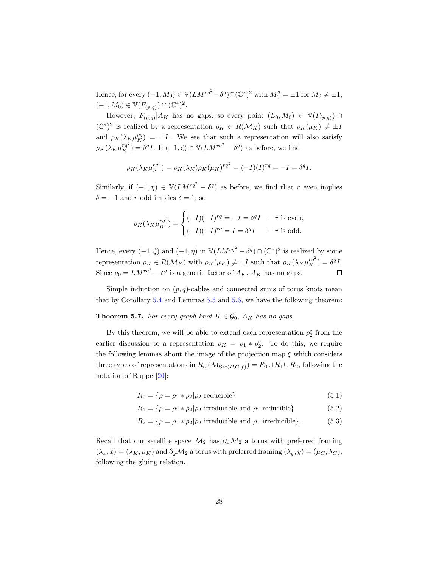Hence, for every  $(-1, M_0) \in \mathbb{V}(LM^{rq^2} - \delta^q) \cap (\mathbb{C}^*)^2$  with  $M_0^q = \pm 1$  for  $M_0 \neq \pm 1$ ,  $(-1, M_0) \in \mathbb{V}(F_{(p,q)}) \cap (\mathbb{C}^*)^2.$ 

However,  $F_{(p,q)}|A_K$  has no gaps, so every point  $(L_0, M_0) \in \mathbb{V}(F_{(p,q)}) \cap$  $({\mathbb C}^*)^2$  is realized by a representation  $\rho_K \in R(M_K)$  such that  $\rho_K(\mu_K) \neq \pm I$ and  $\rho_K(\lambda_K \mu_K^{pq}) = \pm I$ . We see that such a representation will also satisfy  $\rho_K(\lambda_K \mu_K^{rq^2}) = \delta^q I$ . If  $(-1, \zeta) \in \mathbb{V}(LM^{rq^2} - \delta^q)$  as before, we find

$$
\rho_K(\lambda_K \mu_K^{rq^2}) = \rho_K(\lambda_K)\rho_K(\mu_K)^{rq^2} = (-I)(I)^{rq} = -I = \delta^qI.
$$

Similarly, if  $(-1, \eta) \in \mathbb{V}(LM^{rq^2} - \delta^q)$  as before, we find that r even implies  $\delta = -1$  and r odd implies  $\delta = 1$ , so

$$
\rho_K(\lambda_K \mu_K^{rq^2}) = \begin{cases} (-I)(-I)^{rq} = -I = \delta^q I & : r \text{ is even,} \\ (-I)(-I)^{rq} = I = \delta^q I & : r \text{ is odd.} \end{cases}
$$

Hence, every  $(-1, \zeta)$  and  $(-1, \eta)$  in  $\mathbb{V}(LM^{rq^2} - \delta^q) \cap (\mathbb{C}^*)^2$  is realized by some representation  $\rho_K \in R(\mathcal{M}_K)$  with  $\rho_K(\mu_K) \neq \pm I$  such that  $\rho_K(\lambda_K \mu_K^{rq^2}) = \delta^q I$ . Since  $g_0 = LM^{rq^2} - \delta^q$  is a generic factor of  $A_K$ ,  $A_K$  has no gaps.  $\Box$ 

Simple induction on  $(p, q)$ -cables and connected sums of torus knots mean that by Corollary [5.4](#page-23-0) and Lemmas [5.5](#page-23-1) and [5.6,](#page-24-0) we have the following theorem:

<span id="page-27-0"></span>**Theorem 5.7.** For every graph knot  $K \in \mathcal{G}_0$ ,  $A_K$  has no gaps.

By this theorem, we will be able to extend each representation  $\rho_2^\varepsilon$  from the earlier discussion to a representation  $\rho_K = \rho_1 * \rho_2^{\varepsilon}$ . To do this, we require the following lemmas about the image of the projection map  $\xi$  which considers three types of representations in  $R_U(\mathcal{M}_{\text{Sat}(P,C,f)}) = R_0 \cup R_1 \cup R_2$ , following the notation of Ruppe [\[20\]](#page-45-1):

$$
R_0 = \{ \rho = \rho_1 * \rho_2 | \rho_2 \text{ reducible} \} \tag{5.1}
$$

$$
R_1 = \{ \rho = \rho_1 * \rho_2 | \rho_2 \text{ irreducible and } \rho_1 \text{ reducible} \}
$$
 (5.2)

$$
R_2 = \{ \rho = \rho_1 * \rho_2 | \rho_2 \text{ irreducible and } \rho_1 \text{ irreducible} \}. \tag{5.3}
$$

Recall that our satellite space  $\mathcal{M}_2$  has  $\partial_x \mathcal{M}_2$  a torus with preferred framing  $(\lambda_x, x) = (\lambda_K, \mu_K)$  and  $\partial_y \mathcal{M}_2$  a torus with preferred framing  $(\lambda_y, y) = (\mu_C, \lambda_C)$ , following the gluing relation.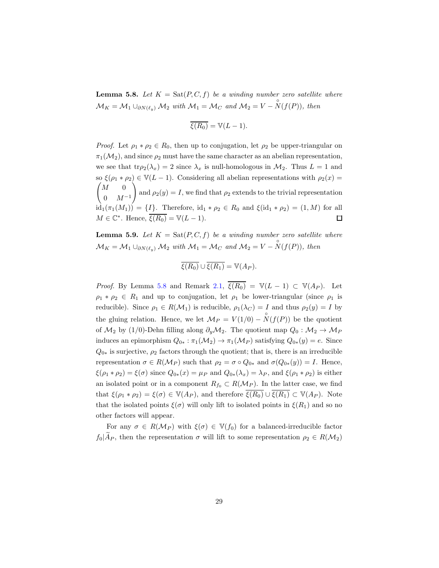<span id="page-28-0"></span>**Lemma 5.8.** Let  $K = \text{Sat}(P, C, f)$  be a winding number zero satellite where  $\mathcal{M}_K = \mathcal{M}_1 \cup_{\partial N(\ell_y)} \mathcal{M}_2$  with  $\mathcal{M}_1 = \mathcal{M}_C$  and  $\mathcal{M}_2 = V - \overset{\circ}{N}(f(P))$ , then

$$
\overline{\xi(R_0)}=\mathbb{V}(L-1).
$$

*Proof.* Let  $\rho_1 * \rho_2 \in R_0$ , then up to conjugation, let  $\rho_2$  be upper-triangular on  $\pi_1(\mathcal{M}_2)$ , and since  $\rho_2$  must have the same character as an abelian representation, we see that  $tr\rho_2(\lambda_x) = 2$  since  $\lambda_x$  is null-homologous in  $\mathcal{M}_2$ . Thus  $L = 1$  and so  $\xi(\rho_1 * \rho_2) \in V(L-1)$ . Considering all abelian representations with  $\rho_2(x) =$  $\begin{pmatrix} M & 0 \end{pmatrix}$  $\setminus$ and  $\rho_2(y) = I$ , we find that  $\rho_2$  extends to the trivial representation  $0 \t M^{-1}$  $\widehat{\mathrm{id}}_1(\pi_1(M_1)) = \{I\}.$  Therefore,  $\mathrm{id}_1 * \rho_2 \in R_0$  and  $\xi(\mathrm{id}_1 * \rho_2) = (1, M)$  for all  $M \in \mathbb{C}^*$ . Hence,  $\overline{\xi(R_0)} = \mathbb{V}(L-1)$ .  $\Box$ 

<span id="page-28-1"></span>**Lemma 5.9.** Let  $K = \text{Sat}(P, C, f)$  be a winding number zero satellite where  $\mathcal{M}_K = \mathcal{M}_1 \cup_{\partial N(\ell_y)} \mathcal{M}_2$  *with*  $\mathcal{M}_1 = \mathcal{M}_C$  *and*  $\mathcal{M}_2 = V - \overset{\circ}{N}(f(P))$ *, then* 

$$
\overline{\xi(R_0)} \cup \overline{\xi(R_1)} = \mathbb{V}(A_P).
$$

*Proof.* By Lemma [5.8](#page-28-0) and Remark [2.1,](#page-8-0)  $\overline{\xi(R_0)} = V(L-1) \subset V(A_P)$ . Let  $\rho_1 * \rho_2 \in R_1$  and up to conjugation, let  $\rho_1$  be lower-triangular (since  $\rho_1$  is reducible). Since  $\rho_1 \in R(\mathcal{M}_1)$  is reducible,  $\rho_1(\lambda_C) = I$  and thus  $\rho_2(y) = I$  by the gluing relation. Hence, we let  $\mathcal{M}_P = V(1/0) - \overset{\circ}{N}(f(P))$  be the quotient of  $M_2$  by (1/0)-Dehn filling along  $\partial_y M_2$ . The quotient map  $Q_0 : M_2 \to M_P$ induces an epimorphism  $Q_{0*}: \pi_1(\mathcal{M}_2) \to \pi_1(\mathcal{M}_P)$  satisfying  $Q_{0*}(y) = e$ . Since  $Q_{0*}$  is surjective,  $\rho_2$  factors through the quotient; that is, there is an irreducible representation  $\sigma \in R(\mathcal{M}_P)$  such that  $\rho_2 = \sigma \circ Q_{0*}$  and  $\sigma(Q_{0*}(y)) = I$ . Hence,  $\xi(\rho_1 * \rho_2) = \xi(\sigma)$  since  $Q_{0*}(x) = \mu_P$  and  $Q_{0*}(\lambda_x) = \lambda_P$ , and  $\xi(\rho_1 * \rho_2)$  is either an isolated point or in a component  $R_{f_0} \subset R(\mathcal{M}_P)$ . In the latter case, we find that  $\xi(\rho_1 * \rho_2) = \xi(\sigma) \in \mathbb{V}(A_P)$ , and therefore  $\overline{\xi(R_0)} \cup \overline{\xi(R_1)} \subset \mathbb{V}(A_P)$ . Note that the isolated points  $\xi(\sigma)$  will only lift to isolated points in  $\xi(R_1)$  and so no other factors will appear.

For any  $\sigma \in R(\mathcal{M}_P)$  with  $\xi(\sigma) \in V(f_0)$  for a balanced-irreducible factor  $f_0|\widetilde{A}_P$ , then the representation  $\sigma$  will lift to some representation  $\rho_2 \in R(\mathcal{M}_2)$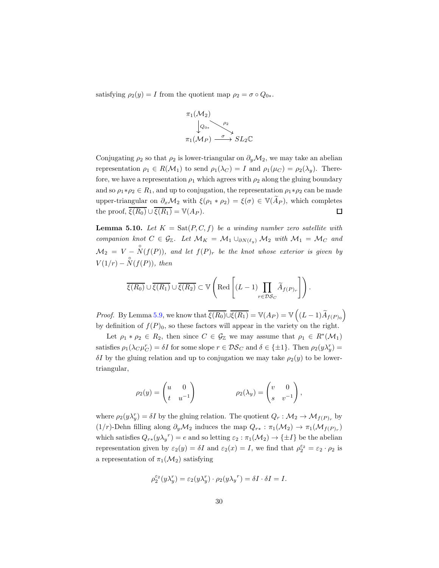satisfying  $\rho_2(y) = I$  from the quotient map  $\rho_2 = \sigma \circ Q_{0*}$ .



Conjugating  $\rho_2$  so that  $\rho_2$  is lower-triangular on  $\partial_y \mathcal{M}_2$ , we may take an abelian representation  $\rho_1 \in R(\mathcal{M}_1)$  to send  $\rho_1(\lambda_C) = I$  and  $\rho_1(\mu_C) = \rho_2(\lambda_y)$ . Therefore, we have a representation  $\rho_1$  which agrees with  $\rho_2$  along the gluing boundary and so  $\rho_1 * \rho_2 \in R_1$ , and up to conjugation, the representation  $\rho_1 * \rho_2$  can be made upper-triangular on  $\partial_x \mathcal{M}_2$  with  $\xi(\rho_1 * \rho_2) = \xi(\sigma) \in \mathbb{V}(\widetilde{A}_P)$ , which completes the proof,  $\overline{\xi(R_0)} \cup \overline{\xi(R_1)} = \mathbb{V}(A_P)$ .  $\square$ 

<span id="page-29-0"></span>**Lemma 5.10.** Let  $K = \text{Sat}(P, C, f)$  be a winding number zero satellite with *companion knot*  $C \in \mathcal{G}_{\mathbb{Z}}$ . Let  $\mathcal{M}_K = \mathcal{M}_1 \cup_{\partial N(\ell_{\nu})} \mathcal{M}_2$  *with*  $\mathcal{M}_1 = \mathcal{M}_C$  *and*  $\mathcal{M}_2 = V - \overset{\circ}{N}(f(P)),$  and let  $f(P)_r$  be the knot whose exterior is given by  $V(1/r) - \overset{\circ}{N}(f(P))$ , then

$$
\overline{\xi(R_0)} \cup \overline{\xi(R_1)} \cup \overline{\xi(R_2)} \subset \mathbb{V}\left(\text{Red}\left[(L-1)\prod_{r \in \mathcal{DS}_C} \widetilde{A}_{f(P)_r}\right]\right).
$$

*Proof.* By Lemma [5.9,](#page-28-1) we know that  $\overline{\xi(R_0)} \cup \overline{\xi(R_1)} = \mathbb{V}(A_P) = \mathbb{V}\left( (L-1)\widetilde{A}_{f(P)_0} \right)$ by definition of  $f(P)_0$ , so these factors will appear in the variety on the right.

Let  $\rho_1 * \rho_2 \in R_2$ , then since  $C \in \mathcal{G}_{\mathbb{Z}}$  we may assume that  $\rho_1 \in R^*(\mathcal{M}_1)$ satisfies  $\rho_1(\lambda_C \mu_C^r) = \delta I$  for some slope  $r \in \mathcal{DS}_C$  and  $\delta \in \{\pm 1\}$ . Then  $\rho_2(y\lambda_y^r) =$  $\delta I$  by the gluing relation and up to conjugation we may take  $\rho_2(y)$  to be lowertriangular,

$$
\rho_2(y) = \begin{pmatrix} u & 0 \\ t & u^{-1} \end{pmatrix} \qquad \qquad \rho_2(\lambda_y) = \begin{pmatrix} v & 0 \\ s & v^{-1} \end{pmatrix},
$$

where  $\rho_2(y\lambda_y^r) = \delta I$  by the gluing relation. The quotient  $Q_r : \mathcal{M}_2 \to \mathcal{M}_{f(P)_r}$  by  $(1/r)$ -Dehn filling along  $\partial_y \mathcal{M}_2$  induces the map  $Q_{r*} : \pi_1(\mathcal{M}_2) \to \pi_1(\mathcal{M}_{f(P)_r})$ which satisfies  $Q_{r*}(y\lambda_y^r) = e$  and so letting  $\varepsilon_2 : \pi_1(\mathcal{M}_2) \to {\pm I}$  be the abelian representation given by  $\varepsilon_2(y) = \delta I$  and  $\varepsilon_2(x) = I$ , we find that  $\rho_2^{\varepsilon_2} = \varepsilon_2 \cdot \rho_2$  is a representation of  $\pi_1(\mathcal{M}_2)$  satisfying

$$
\rho_2^{\varepsilon_2}(y\lambda_y^r)=\varepsilon_2(y\lambda_y^r)\cdot\rho_2(y\lambda_y^{\ r})=\delta I\cdot\delta I=I.
$$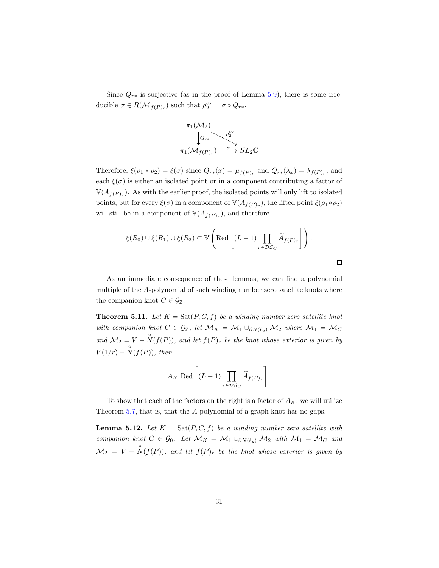Since  $Q_{r*}$  is surjective (as in the proof of Lemma [5.9\)](#page-28-1), there is some irreducible  $\sigma \in R(\mathcal{M}_{f(P)_r})$  such that  $\rho_2^{\varepsilon_2} = \sigma \circ Q_{r*}$ .



Therefore,  $\xi(\rho_1 * \rho_2) = \xi(\sigma)$  since  $Q_{r*}(x) = \mu_{f(P)_r}$  and  $Q_{r*}(\lambda_x) = \lambda_{f(P)_r}$ , and each  $\xi(\sigma)$  is either an isolated point or in a component contributing a factor of  $\mathbb{V}(A_{f(P)_r})$ . As with the earlier proof, the isolated points will only lift to isolated points, but for every  $\xi(\sigma)$  in a component of  $\mathbb{V}(A_{f(P)_r})$ , the lifted point  $\xi(\rho_1*\rho_2)$ will still be in a component of  $\mathbb{V}(A_{f(P)_r})$ , and therefore

$$
\overline{\xi(R_0)} \cup \overline{\xi(R_1)} \cup \overline{\xi(R_2)} \subset \mathbb{V}\left(\text{Red}\left[(L-1)\prod_{r \in \mathcal{DS}_C} \widetilde{A}_{f(P)_r}\right]\right).
$$

 $\Box$ 

As an immediate consequence of these lemmas, we can find a polynomial multiple of the A-polynomial of such winding number zero satellite knots where the companion knot  $C \in \mathcal{G}_{\mathbb{Z}}$ :

**Theorem 5.11.** Let  $K = \text{Sat}(P, C, f)$  be a winding number zero satellite knot *with companion knot*  $C \in \mathcal{G}_{\mathbb{Z}}$ , let  $\mathcal{M}_K = \mathcal{M}_1 \cup_{\partial N(\ell_2)} \mathcal{M}_2$  *where*  $\mathcal{M}_1 = \mathcal{M}_C$ and  $\mathcal{M}_2 = V - \overset{\circ}{N}(f(P))$ , and let  $f(P)_r$  be the knot whose exterior is given by  $V(1/r) - \overset{\circ}{N}(f(P))$ *, then* 

$$
A_K\Bigg|\text{Red}\left[(L-1)\prod_{r\in \mathcal{DS}_C}\widetilde{A}_{f(P)_r}\right].
$$

To show that each of the factors on the right is a factor of  $A_K$ , we will utilize Theorem [5.7,](#page-27-0) that is, that the A-polynomial of a graph knot has no gaps.

<span id="page-30-0"></span>**Lemma 5.12.** Let  $K = \text{Sat}(P, C, f)$  be a winding number zero satellite with *companion knot*  $C \in \mathcal{G}_0$ *. Let*  $\mathcal{M}_K = \mathcal{M}_1 \cup_{\partial N(\ell_u)} \mathcal{M}_2$  *with*  $\mathcal{M}_1 = \mathcal{M}_C$  *and*  $\mathcal{M}_2 = V - \overset{\circ}{N}(f(P)),$  and let  $f(P)_r$  be the knot whose exterior is given by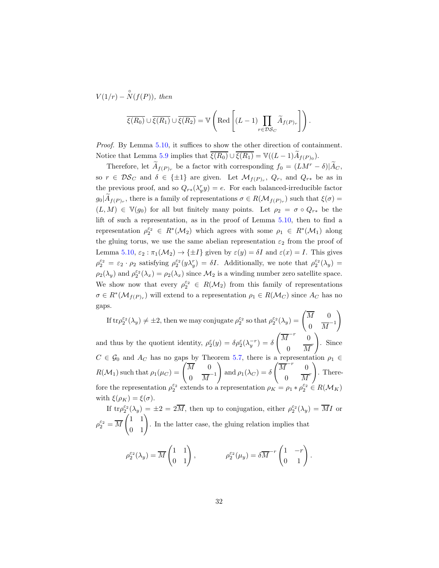$V(1/r) - \overset{\circ}{N}(f(P))$ , then  $\xi(R_0) \cup \xi(R_1) \cup \xi(R_2) = \mathbb{V}$  $\left[\begin{matrix}Red\end{matrix}\right] (L-1)$  $r{\in}\mathcal{DS}_C$  $A_{f(P)_r}$  $\bigwedge$ 

*Proof.* By Lemma [5.10,](#page-29-0) it suffices to show the other direction of containment. Notice that Lemma [5.9](#page-28-1) implies that  $\xi(R_0) \cup \xi(R_1) = \mathbb{V}((L-1)A_{f(P)_0}).$ 

.

Therefore, let  $\widetilde{A}_{f(P)_r}$  be a factor with corresponding  $f_0 = (LM^r - \delta)|\widetilde{A}_C$ , so  $r \in \mathcal{DS}_C$  and  $\delta \in {\pm 1}$  are given. Let  $\mathcal{M}_{f(P)_r}, Q_r$ , and  $Q_{r*}$  be as in the previous proof, and so  $Q_{r*}(\lambda_y^r y) = e$ . For each balanced-irreducible factor  $g_0|A_{f(P)_r}$ , there is a family of representations  $\sigma \in R(\mathcal{M}_{f(P)_r})$  such that  $\xi(\sigma)$  =  $(L, M) \in V(g_0)$  for all but finitely many points. Let  $\rho_2 = \sigma \circ Q_{r*}$  be the lift of such a representation, as in the proof of Lemma [5.10,](#page-29-0) then to find a representation  $\rho_2^{\varepsilon_2} \in R^*(\mathcal{M}_2)$  which agrees with some  $\rho_1 \in R^*(\mathcal{M}_1)$  along the gluing torus, we use the same abelian representation  $\varepsilon_2$  from the proof of Lemma [5.10,](#page-29-0)  $\varepsilon_2 : \pi_1(\mathcal{M}_2) \to {\pm I}$  given by  $\varepsilon(y) = \delta I$  and  $\varepsilon(x) = I$ . This gives  $\rho_2^{\varepsilon_2} = \varepsilon_2 \cdot \rho_2$  satisfying  $\rho_2^{\varepsilon_2}(y\lambda_y^r) = \delta I$ . Additionally, we note that  $\rho_2^{\varepsilon_2}(\lambda_y) =$  $\rho_2(\lambda_y)$  and  $\rho_2^{\varepsilon_2}(\lambda_x) = \rho_2(\lambda_x)$  since  $\mathcal{M}_2$  is a winding number zero satellite space. We show now that every  $\rho_2^{\varepsilon_2} \in R(\mathcal{M}_2)$  from this family of representations  $\sigma \in R^*(\mathcal{M}_{f(P)_r})$  will extend to a representation  $\rho_1 \in R(\mathcal{M}_C)$  since  $A_C$  has no gaps.

If  $\text{tr}\rho_2^{\varepsilon_2}(\lambda_y) \neq \pm 2$ , then we may conjugate  $\rho_2^{\varepsilon_2}$  so that  $\rho_2^{\varepsilon_2}(\lambda_y) = \begin{pmatrix} \overline{M} & 0 \\ 0 & \overline{M} \end{pmatrix}$ 0  $\overline{M}^{-1}$ ! and thus by the quotient identity,  $\rho_2^{\varepsilon}(y) = \delta \rho_2^{\varepsilon}(\lambda_y^{-r}) = \delta$  $\left(\overline{M}^{-r}\right)^{-1}0$ 0  $\overline{M}^r$  $\setminus$ . Since  $C \in \mathcal{G}_0$  and  $A_C$  has no gaps by Theorem [5.7,](#page-27-0) there is a representation  $\rho_1 \in$  $R(\mathcal{M}_1)$  such that  $\rho_1(\mu_C) = \begin{pmatrix} \overline{M} & 0 \\ 0 & \overline{M} \end{pmatrix}$  $0 \quad \overline{M}^{-1}$ ! and  $\rho_1(\lambda_C) = \delta$  $\left(\overline{M}^{-r}\right)^{-1}$ 0  $\overline{M}^r$ ! . Therefore the representation  $\rho_2^{\varepsilon_2}$  extends to a representation  $\rho_K = \rho_1 * \rho_2^{\varepsilon_2} \in R(\mathcal{M}_K)$ with  $\xi(\rho_K) = \xi(\sigma)$ .

If  $tr\rho_2^{\varepsilon_2}(\lambda_y) = \pm 2 = 2\overline{M}$ , then up to conjugation, either  $\rho_2^{\varepsilon_2}(\lambda_y) = \overline{M}I$  or  $\rho_2^{\varepsilon_2} = \overline{M}$  $\begin{pmatrix} 1 & 1 \\ 0 & 1 \end{pmatrix}$ . In the latter case, the gluing relation implies that

$$
\rho_2^{\varepsilon_2}(\lambda_y) = \overline{M} \begin{pmatrix} 1 & 1 \\ 0 & 1 \end{pmatrix}, \qquad \rho_2^{\varepsilon_2}(\mu_y) = \delta \overline{M}^{-r} \begin{pmatrix} 1 & -r \\ 0 & 1 \end{pmatrix}.
$$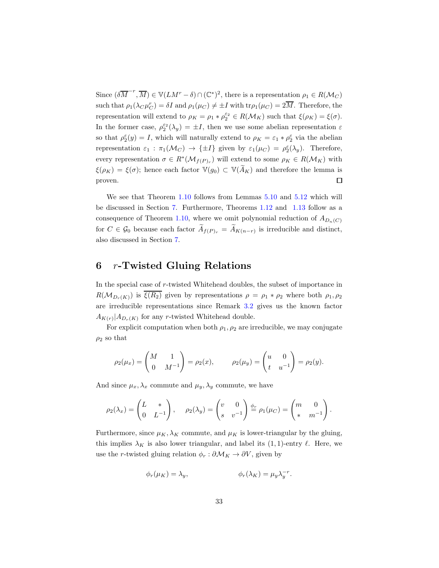Since  $(\delta \overline{M}^{-r}, \overline{M}) \in V(LM^r - \delta) \cap (\mathbb{C}^*)^2$ , there is a representation  $\rho_1 \in R(\mathcal{M}_C)$ such that  $\rho_1(\lambda_C \mu_C^r) = \delta I$  and  $\rho_1(\mu_C) \neq \pm I$  with  $\text{tr}\rho_1(\mu_C) = 2\overline{M}$ . Therefore, the representation will extend to  $\rho_K = \rho_1 * \rho_2^{\varepsilon_2} \in R(\mathcal{M}_K)$  such that  $\xi(\rho_K) = \xi(\sigma)$ . In the former case,  $\rho_2^{\varepsilon_2}(\lambda_y) = \pm I$ , then we use some abelian representation  $\varepsilon$ so that  $\rho_2^{\varepsilon}(y) = I$ , which will naturally extend to  $\rho_K = \varepsilon_1 * \rho_2^{\varepsilon}$  via the abelian representation  $\varepsilon_1 : \pi_1(\mathcal{M}_C) \to {\{\pm I\}}$  given by  $\varepsilon_1(\mu_C) = \rho_2^{\varepsilon}(\lambda_y)$ . Therefore, every representation  $\sigma \in R^*(\mathcal{M}_{f(P)_r})$  will extend to some  $\rho_K \in R(\mathcal{M}_K)$  with  $\xi(\rho_K) = \xi(\sigma)$ ; hence each factor  $\mathbb{V}(g_0) \subset \mathbb{V}(\widetilde{A}_K)$  and therefore the lemma is proven.  $\Box$ 

We see that Theorem [1.10](#page-5-0) follows from Lemmas [5.10](#page-29-0) and [5.12](#page-30-0) which will be discussed in Section [7.](#page-35-0) Furthermore, Theorems [1.12](#page-5-1) and [1.13](#page-6-0) follow as a consequence of Theorem [1.10,](#page-5-0) where we omit polynomial reduction of  $A_{D_n(C)}$ for  $C \in \mathcal{G}_0$  because each factor  $A_{f(P)_r} = A_{K(n-r)}$  is irreducible and distinct, also discussed in Section [7.](#page-35-0)

# <span id="page-32-0"></span>6 r-Twisted Gluing Relations

In the special case of r-twisted Whitehead doubles, the subset of importance in  $R(\mathcal{M}_{D_r(K)})$  is  $\overline{\xi(R_2)}$  given by representations  $\rho = \rho_1 * \rho_2$  where both  $\rho_1, \rho_2$ are irreducible representations since Remark [3.2](#page-11-2) gives us the known factor  $A_{K(r)}|A_{D_r(K)}$  for any r-twisted Whitehead double.

For explicit computation when both  $\rho_1$ ,  $\rho_2$  are irreducible, we may conjugate  $\rho_2$  so that

$$
\rho_2(\mu_x) = \begin{pmatrix} M & 1 \\ 0 & M^{-1} \end{pmatrix} = \rho_2(x), \qquad \rho_2(\mu_y) = \begin{pmatrix} u & 0 \\ t & u^{-1} \end{pmatrix} = \rho_2(y).
$$

And since  $\mu_x, \lambda_x$  commute and  $\mu_y, \lambda_y$  commute, we have

$$
\rho_2(\lambda_x) = \begin{pmatrix} L & * \\ 0 & L^{-1} \end{pmatrix}, \quad \rho_2(\lambda_y) = \begin{pmatrix} v & 0 \\ s & v^{-1} \end{pmatrix} \stackrel{\phi_r}{=} \rho_1(\mu_C) = \begin{pmatrix} m & 0 \\ * & m^{-1} \end{pmatrix}.
$$

Furthermore, since  $\mu_K$ ,  $\lambda_K$  commute, and  $\mu_K$  is lower-triangular by the gluing, this implies  $\lambda_K$  is also lower triangular, and label its (1, 1)-entry  $\ell$ . Here, we use the r-twisted gluing relation  $\phi_r : \partial \mathcal{M}_K \to \partial V$ , given by

$$
\phi_r(\mu_K) = \lambda_y, \qquad \phi_r(\lambda_K) = \mu_y \lambda_y^{-r}.
$$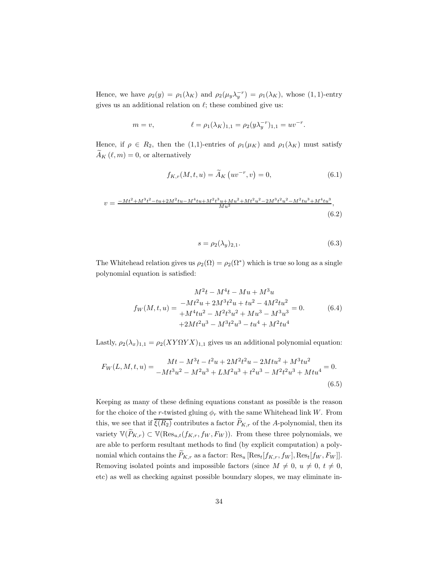Hence, we have  $\rho_2(y) = \rho_1(\lambda_K)$  and  $\rho_2(\mu_y \lambda_y^{-r}) = \rho_1(\lambda_K)$ , whose (1, 1)-entry gives us an additional relation on  $\ell$ ; these combined give us:

$$
m = v,
$$
  $\ell = \rho_1(\lambda_K)_{1,1} = \rho_2(y\lambda_y^{-r})_{1,1} = uv^{-r}.$ 

Hence, if  $\rho \in R_2$ , then the (1,1)-entries of  $\rho_1(\mu_K)$  and  $\rho_1(\lambda_K)$  must satisfy  $\ddot{A}_K(\ell,m) = 0$ , or alternatively

$$
f_{K,r}(M, t, u) = \widetilde{A}_K(uv^{-r}, v) = 0,
$$
\n(6.1)

$$
v = \frac{-Mt^2 + M^3t^2 - tu + 2M^2tu - M^4tu + M^2t^3u + Mu^2 + Mt^2u^2 - 2M^3t^2u^2 - M^2tu^3 + M^4tu^3}{Mu^2},
$$
\n(6.2)

$$
s = \rho_2(\lambda_y)_{2,1}.\tag{6.3}
$$

The Whitehead relation gives us  $\rho_2(\Omega) = \rho_2(\Omega^*)$  which is true so long as a single polynomial equation is satisfied:

$$
M^{2}t - M^{4}t - Mu + M^{3}u
$$
  
\n
$$
f_{W}(M, t, u) = -Mt^{2}u + 2M^{3}t^{2}u + tu^{2} - 4M^{2}tu^{2}
$$
  
\n
$$
+M^{4}tu^{2} - M^{2}t^{3}u^{2} + Mu^{3} - M^{3}u^{3} = 0.
$$
\n(6.4)  
\n
$$
+2Mt^{2}u^{3} - M^{3}t^{2}u^{3} - tu^{4} + M^{2}tu^{4}
$$

Lastly,  $\rho_2(\lambda_x)_{1,1} = \rho_2(XY\Omega YX)_{1,1}$  gives us an additional polynomial equation:

$$
F_W(L, M, t, u) = \frac{Mt - M^3t - t^2u + 2M^2t^2u - 2Mtu^2 + M^3tu^2}{-Mt^3u^2 - M^2u^3 + LM^2u^3 + t^2u^3 - M^2t^2u^3 + Mtu^4} = 0.
$$
\n(6.5)

Keeping as many of these defining equations constant as possible is the reason for the choice of the r-twisted gluing  $\phi_r$  with the same Whitehead link W. From this, we see that if  $\overline{\xi(R_2)}$  contributes a factor  $\widetilde{P}_{K,r}$  of the A-polynomial, then its variety  $\mathbb{V}(\widetilde{P}_{K,r}) \subset \mathbb{V}(\text{Res}_{u,t}(f_{K,r},f_W, F_W))$ . From these three polynomials, we are able to perform resultant methods to find (by explicit computation) a polynomial which contains the  $\widetilde{P}_{K,r}$  as a factor:  $\text{Res}_{u} [\text{Res}_{t}[f_{K,r}, f_{W}], \text{Res}_{t}[f_{W}, F_{W}]]$ . Removing isolated points and impossible factors (since  $M \neq 0$ ,  $u \neq 0$ ,  $t \neq 0$ , etc) as well as checking against possible boundary slopes, we may eliminate in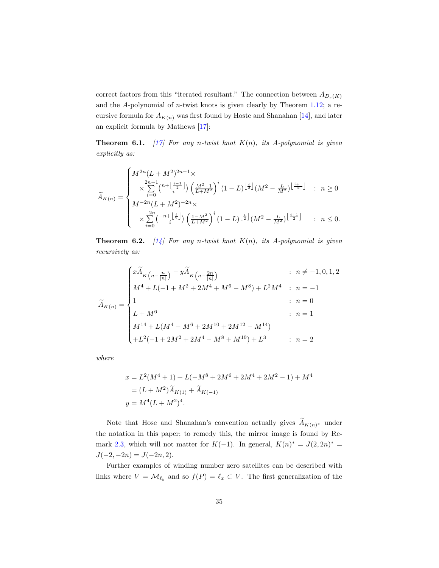correct factors from this "iterated resultant." The connection between  $A_{D_r(K)}$ and the  $A$ -polynomial of *n*-twist knots is given clearly by Theorem [1.12;](#page-5-1) a recursive formula for  $A_{K(n)}$  was first found by Hoste and Shanahan [\[14\]](#page-44-0), and later an explicit formula by Mathews [\[17\]](#page-44-6):

**Theorem 6.1.** [\[17\]](#page-44-6) For any n-twist knot  $K(n)$ , its A-polynomial is given *explicitly as:*

$$
\tilde{A}_{K(n)} = \begin{cases}\nM^{2n}(L + M^2)^{2n-1} \times \\
\quad \times \sum_{i=0}^{2n-1} {n + \lfloor \frac{i-1}{2} \rfloor \choose i} \left(\frac{M^2 - 1}{L + M^2}\right)^i (1 - L)^{\lfloor \frac{i}{2} \rfloor} (M^2 - \frac{L}{M^2})^{\lfloor \frac{i+1}{2} \rfloor} & : n \ge 0 \\
M^{-2n}(L + M^2)^{-2n} \times \\
\quad \times \sum_{i=0}^{-2n} {n + \lfloor \frac{i}{2} \rfloor \choose \frac{1 - M^2}{L + M^2}}^i (1 - L)^{\lfloor \frac{i}{2} \rfloor} (M^2 - \frac{L}{M^2})^{\lfloor \frac{i+1}{2} \rfloor} & : n \le 0.\n\end{cases}
$$

**Theorem 6.2.**  $[14]$  For any n-twist knot  $K(n)$ , its A-polynomial is given *recursively as:*

$$
\tilde{A}_{K(n)} = \begin{cases}\n x\tilde{A}_{K\left(n - \frac{n}{|n|}\right)} - y\tilde{A}_{K\left(n - \frac{2n}{|n|}\right)} & : n \neq -1, 0, 1, 2 \\
 M^4 + L(-1 + M^2 + 2M^4 + M^6 - M^8) + L^2 M^4 & : n = -1 \\
 1 & : n = 0 \\
 L + M^6 & : n = 1 \\
 M^{14} + L(M^4 - M^6 + 2M^{10} + 2M^{12} - M^{14}) & \\
 + L^2(-1 + 2M^2 + 2M^4 - M^8 + M^{10}) + L^3 & : n = 2\n\end{cases}
$$

*where*

$$
x = L2(M4 + 1) + L(-M8 + 2M6 + 2M4 + 2M2 - 1) + M4
$$
  
= (L + M<sup>2</sup>) $\tilde{A}_{K(1)} + \tilde{A}_{K(-1)}$   
 $y = M4(L + M2)4.$ 

Note that Hose and Shanahan's convention actually gives  $A_{K(n)*}$  under the notation in this paper; to remedy this, the mirror image is found by Re-mark [2.3,](#page-8-1) which will not matter for  $K(-1)$ . In general,  $K(n)^* = J(2, 2n)^* =$  $J(-2, -2n) = J(-2n, 2).$ 

Further examples of winding number zero satellites can be described with links where  $V = \mathcal{M}_{\ell_y}$  and so  $f(P) = \ell_x \subset V$ . The first generalization of the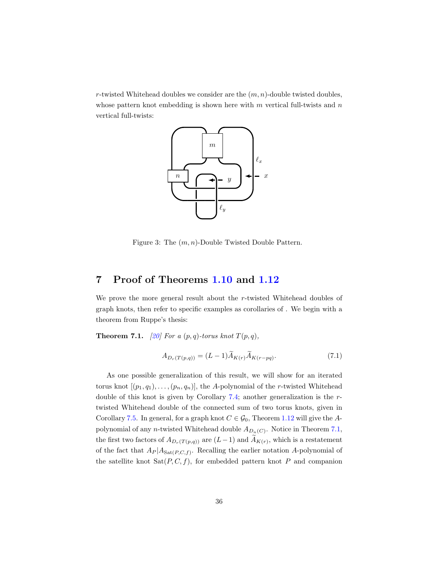<span id="page-35-1"></span>r-twisted Whitehead doubles we consider are the  $(m, n)$ -double twisted doubles, whose pattern knot embedding is shown here with  $m$  vertical full-twists and  $n$ vertical full-twists:



Figure 3: The  $(m, n)$ -Double Twisted Double Pattern.

# <span id="page-35-0"></span>7 Proof of Theorems [1.10](#page-5-0) and [1.12](#page-5-1)

We prove the more general result about the r-twisted Whitehead doubles of graph knots, then refer to specific examples as corollaries of . We begin with a theorem from Ruppe's thesis:

<span id="page-35-2"></span>**Theorem 7.1.** *[\[20\]](#page-45-1) For a*  $(p, q)$ *-torus knot*  $T(p, q)$ *,* 

$$
A_{D_r(T(p,q))} = (L-1)\tilde{A}_{K(r)}\tilde{A}_{K(r-pq)}.
$$
\n(7.1)

As one possible generalization of this result, we will show for an iterated torus knot  $[(p_1, q_1), \ldots, (p_n, q_n)]$ , the A-polynomial of the r-twisted Whitehead double of this knot is given by Corollary [7.4;](#page-37-0) another generalization is the rtwisted Whitehead double of the connected sum of two torus knots, given in Corollary [7.5.](#page-37-1) In general, for a graph knot  $C \in \mathcal{G}_0$ , Theorem [1.12](#page-5-1) will give the Apolynomial of any *n*-twisted Whitehead double  $A_{D_n(C)}$ . Notice in Theorem [7.1,](#page-35-2) the first two factors of  $A_{D_r(T(p,q))}$  are  $(L-1)$  and  $A_{K(r)}$ , which is a restatement of the fact that  $A_P | A_{Sat(P,C,f)}$ . Recalling the earlier notation A-polynomial of the satellite knot  $Sat(P, C, f)$ , for embedded pattern knot P and companion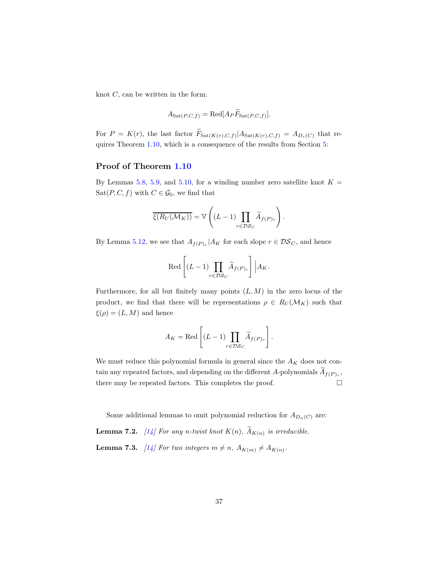knot  $C$ , can be written in the form:

$$
A_{\mathrm{Sat}(P,C,f)} = \mathrm{Red}[A_P \widetilde{F}_{\mathrm{Sat}(P,C,f)}].
$$

For  $P = K(r)$ , the last factor  $F_{\text{Sat}(K(r),C,f)}|A_{\text{Sat}(K(r),C,f)} = A_{D_r(C)}$  that requires Theorem [1.10,](#page-5-0) which is a consequence of the results from Section [5:](#page-18-0)

### Proof of Theorem [1.10](#page-5-0)

By Lemmas [5.8,](#page-28-0) [5.9,](#page-28-1) and [5.10,](#page-29-0) for a winding number zero satellite knot  $K =$ Sat $(P, C, f)$  with  $C \in \mathcal{G}_0$ , we find that

$$
\overline{\xi(R_U(\mathcal{M}_K))} = \mathbb{V}\left((L-1)\prod_{r \in \mathcal{DS}_C} \widetilde{A}_{f(P)_r}\right).
$$

By Lemma [5.12,](#page-30-0) we see that  $A_{f(P)_r}|A_K$  for each slope  $r \in \mathcal{DS}_C$ , and hence

$$
\operatorname{Red}\left[(L-1)\prod_{r\in\mathcal{DS}_C}\widetilde{A}_{f(P)_r}\right]\Big|A_K.
$$

Furthermore, for all but finitely many points  $(L, M)$  in the zero locus of the product, we find that there will be representations  $\rho \in R_U(\mathcal{M}_K)$  such that  $\xi(\rho) = (L, M)$  and hence

$$
A_K = \text{Red}\left[ (L-1) \prod_{r \in \mathcal{DS}_C} \widetilde{A}_{f(P)_r} \right].
$$

We must reduce this polynomial formula in general since the  $A_K$  does not contain any repeated factors, and depending on the different A-polynomials  $A_{f(P)_r}$ , there may be repeated factors. This completes the proof.  $\hfill \Box$ 

Some additional lemmas to omit polynomial reduction for  $A_{D_n(C)}$  are:

<span id="page-36-0"></span>**Lemma 7.2.** [\[14\]](#page-44-0) For any n-twist knot  $K(n)$ ,  $A_{K(n)}$  is irreducible.

<span id="page-36-1"></span>**Lemma 7.3.** [\[14\]](#page-44-0) For two integers  $m \neq n$ ,  $A_{K(m)} \neq A_{K(n)}$ .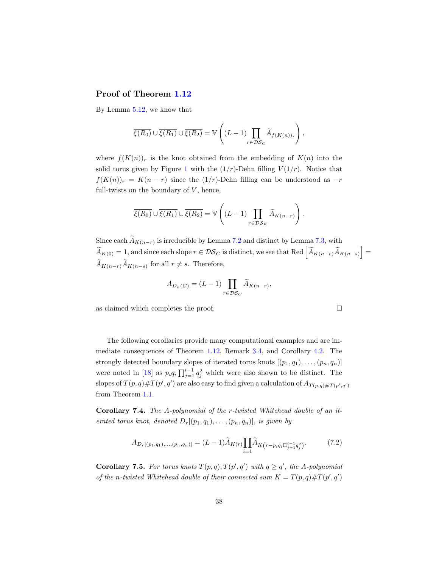### Proof of Theorem [1.12](#page-5-1)

By Lemma [5.12,](#page-30-0) we know that

$$
\overline{\xi(R_0)} \cup \overline{\xi(R_1)} \cup \overline{\xi(R_2)} = \mathbb{V}\left((L-1)\prod_{r \in \mathcal{DS}_C} \widetilde{A}_{f(K(n))_r}\right),\,
$$

where  $f(K(n))_r$  is the knot obtained from the embedding of  $K(n)$  into the solid torus given by Figure [1](#page-18-1) with the  $(1/r)$ -Dehn filling  $V(1/r)$ . Notice that  $f(K(n))_r = K(n-r)$  since the  $(1/r)$ -Dehn filling can be understood as  $-r$ full-twists on the boundary of  $V$ , hence,

$$
\overline{\xi(R_0)} \cup \overline{\xi(R_1)} \cup \overline{\xi(R_2)} = \mathbb{V}\left( (L-1) \prod_{r \in \mathcal{DS}_K} \widetilde{A}_{K(n-r)} \right).
$$

Since each  $A_{K(n-r)}$  is irreducible by Lemma [7.2](#page-36-0) and distinct by Lemma [7.3,](#page-36-1) with  $\widetilde{A}_{K(0)} = 1$ , and since each slope  $r \in \mathcal{DS}_C$  is distinct, we see that Red  $\left[ \widetilde{A}_{K(n-r)} \widetilde{A}_{K(n-s)} \right] =$  $A_{K(n-r)}A_{K(n-s)}$  for all  $r \neq s$ . Therefore,

$$
A_{D_n(C)} = (L-1) \prod_{r \in \mathcal{DS}_C} \widetilde{A}_{K(n-r)},
$$

as claimed which completes the proof.

The following corollaries provide many computational examples and are immediate consequences of Theorem [1.12,](#page-5-1) Remark [3.4,](#page-11-0) and Corollary [4.2.](#page-14-0) The strongly detected boundary slopes of iterated torus knots  $[(p_1, q_1), \ldots, (p_n, q_n)]$ were noted in [\[18\]](#page-45-0) as  $p_i q_i \prod_{j=1}^{i-1} q_j^2$  which were also shown to be distinct. The slopes of  $T(p,q)$ # $T(p',q')$  are also easy to find given a calculation of  $A_{T(p,q)$ # $T(p',q')}$ from Theorem [1.1.](#page-2-1)

<span id="page-37-0"></span>Corollary 7.4. *The* A*-polynomial of the* r*-twisted Whitehead double of an iterated torus knot, denoted*  $D_r[(p_1, q_1), \ldots, (p_n, q_n)]$ *, is given by* 

$$
A_{D_r[(p_1,q_1),..., (p_n,q_n)]} = (L-1)\widetilde{A}_{K(r)} \prod_{i=1}^n \widetilde{A}_{K(r-p_iq_i \Pi_{j=1}^{i-1} q_j^2)}.
$$
(7.2)

<span id="page-37-1"></span>**Corollary 7.5.** For torus knots  $T(p,q)$ ,  $T(p',q')$  with  $q \ge q'$ , the A-polynomial *of the n*-twisted Whitehead double of their connected sum  $K = T(p, q) \# T(p', q')$ 

38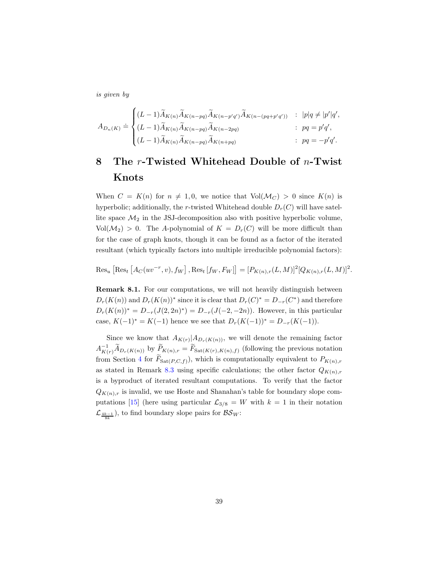*is given by*

$$
A_{D_n(K)} \doteq \begin{cases} (L-1)\widetilde{A}_{K(n)}\widetilde{A}_{K(n-pq)}\widetilde{A}_{K(n-p'q')}\widetilde{A}_{K(n-(pq+p'q'))} & : \ |p|q \neq |p'|q', \\ (L-1)\widetilde{A}_{K(n)}\widetilde{A}_{K(n-pq)}\widetilde{A}_{K(n-2pq)} & : \ pq=p'q', \\ (L-1)\widetilde{A}_{K(n)}\widetilde{A}_{K(n-pq)}\widetilde{A}_{K(n+pq)} & : \ pq = -p'q'. \end{cases}
$$

# <span id="page-38-0"></span>8 The  $r$ -Twisted Whitehead Double of  $n$ -Twist Knots

When  $C = K(n)$  for  $n \neq 1, 0$ , we notice that  $Vol(M_C) > 0$  since  $K(n)$  is hyperbolic; additionally, the r-twisted Whitehead double  $D_r(C)$  will have satellite space  $\mathcal{M}_2$  in the JSJ-decomposition also with positive hyperbolic volume,  $Vol(\mathcal{M}_2) > 0$ . The A-polynomial of  $K = D_r(C)$  will be more difficult than for the case of graph knots, though it can be found as a factor of the iterated resultant (which typically factors into multiple irreducible polynomial factors):

$$
\text{Res}_{u} [\text{Res}_{t} [A_C(uv^{-r}, v), f_W], \text{Res}_{t} [f_W, F_W]] = [P_{K(n),r}(L, M)]^2 [Q_{K(n),r}(L, M)]^2.
$$

Remark 8.1. For our computations, we will not heavily distinguish between  $D_r(K(n))$  and  $D_r(K(n))^*$  since it is clear that  $D_r(C)^* = D_{-r}(C^*)$  and therefore  $D_r(K(n))^* = D_{-r}(J(2, 2n)^*) = D_{-r}(J(-2, -2n))$ . However, in this particular case,  $K(-1)^* = K(-1)$  hence we see that  $D_r(K(-1))^* = D_{-r}(K(-1)).$ 

Since we know that  $A_{K(r)}|A_{D_r(K(n))}$ , we will denote the remaining factor  $A^{-1}_{K(r)}\widetilde{A}_{D_r(K(n))}$  by  $\widetilde{P}_{K(n),r} = \widetilde{F}_{\text{Sat}(K(r),K(n),f)}$  (following the previous notation from Section [4](#page-12-0) for  $F_{\text{Sat}(P,C,f)}$ , which is computationally equivalent to  $P_{K(n),r}$ as stated in Remark [8.3](#page-40-0) using specific calculations; the other factor  $Q_{K(n),r}$ is a byproduct of iterated resultant computations. To verify that the factor  $Q_{K(n),r}$  is invalid, we use Hoste and Shanahan's table for boundary slope com-putations [\[15\]](#page-44-1) (here using particular  $\mathcal{L}_{3/8} = W$  with  $k = 1$  in their notation  $\mathcal{L}_{\frac{4k-1}{8k}}$ ), to find boundary slope pairs for  $\mathcal{BS}_W$ :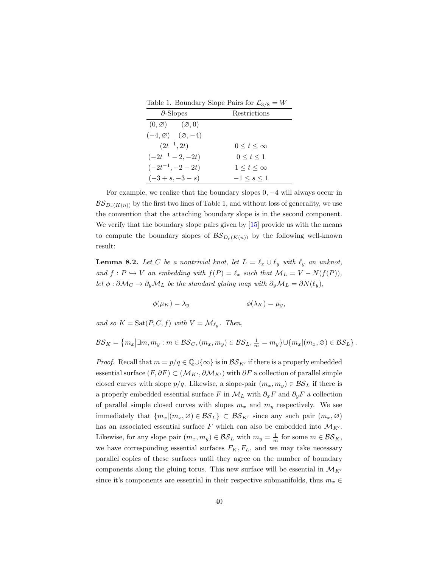Table 1. Boundary Slope Pairs for  $\mathcal{L}_{3/8} = W$ 

| $\partial$ -Slopes                      | Restrictions        |  |
|-----------------------------------------|---------------------|--|
| $(0, \varnothing)$ $(\varnothing, 0)$   |                     |  |
| $(-4, \varnothing)$ $(\varnothing, -4)$ |                     |  |
| $(2t^{-1}, 2t)$                         | $0\leq t\leq\infty$ |  |
| $(-2t^{-1} - 2, -2t)$                   | 0 < t < 1           |  |
| $(-2t^{-1}, -2 - 2t)$                   | $1\leq t\leq\infty$ |  |
| $(-3 + s, -3 - s)$                      | $-1 \leq s \leq 1$  |  |

For example, we realize that the boundary slopes 0, −4 will always occur in  $BS_{D_r(K(n))}$  by the first two lines of Table 1, and without loss of generality, we use the convention that the attaching boundary slope is in the second component. We verify that the boundary slope pairs given by  $[15]$  provide us with the means to compute the boundary slopes of  $\mathcal{BS}_{D_r(K(n))}$  by the following well-known result:

<span id="page-39-0"></span>**Lemma 8.2.** Let C be a nontrivial knot, let  $L = \ell_x \cup \ell_y$  with  $\ell_y$  an unknot, *and*  $f: P \hookrightarrow V$  *an embedding with*  $f(P) = \ell_x$  *such that*  $\mathcal{M}_L = V - N(f(P))$ *, let*  $\phi : \partial \mathcal{M}_C \to \partial_y \mathcal{M}_L$  *be the standard gluing map with*  $\partial_y \mathcal{M}_L = \partial N(\ell_y)$ *,* 

$$
\phi(\mu_K) = \lambda_y \qquad \phi(\lambda_K) = \mu_y,
$$

and so  $K = \text{Sat}(P, C, f)$  with  $V = \mathcal{M}_{\ell_y}$ . Then,

$$
\mathcal{BS}_K = \left\{ m_x | \exists m, m_y : m \in \mathcal{BS}_C, (m_x, m_y) \in \mathcal{BS}_L, \frac{1}{m} = m_y \right\} \cup \left\{ m_x | (m_x, \varnothing) \in \mathcal{BS}_L \right\}.
$$

*Proof.* Recall that  $m = p/q \in \mathbb{Q} \cup \{\infty\}$  is in  $\mathcal{BS}_{K'}$  if there is a properly embedded essential surface  $(F, \partial F) \subset (\mathcal{M}_{K'}, \partial \mathcal{M}_{K'})$  with  $\partial F$  a collection of parallel simple closed curves with slope  $p/q$ . Likewise, a slope-pair  $(m_x, m_y) \in \mathcal{BS}_L$  if there is a properly embedded essential surface F in  $\mathcal{M}_L$  with  $\partial_x F$  and  $\partial_y F$  a collection of parallel simple closed curves with slopes  $m_x$  and  $m_y$  respectively. We see immediately that  ${m_x|(m_x, \varnothing) \in \mathcal{BS}_L} \subset \mathcal{BS}_{K'}$  since any such pair  $(m_x, \varnothing)$ has an associated essential surface F which can also be embedded into  $\mathcal{M}_{K'}$ . Likewise, for any slope pair  $(m_x, m_y) \in \mathcal{BS}_L$  with  $m_y = \frac{1}{m}$  for some  $m \in \mathcal{BS}_K$ , we have corresponding essential surfaces  $F_K, F_L$ , and we may take necessary parallel copies of these surfaces until they agree on the number of boundary components along the gluing torus. This new surface will be essential in  $\mathcal{M}_{K'}$ since it's components are essential in their respective submanifolds, thus  $m_x \in$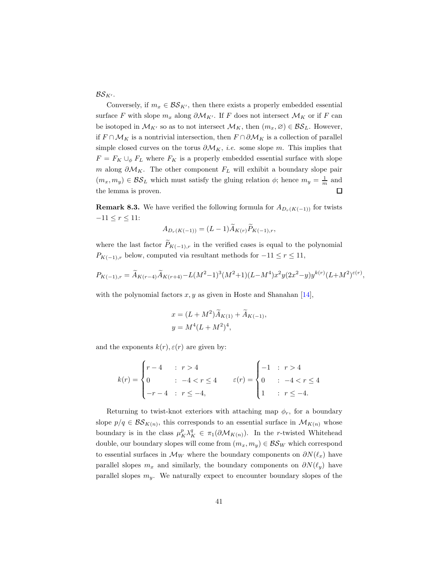$BS_{K'}$ .

Conversely, if  $m_x \in \mathcal{BS}_{K'}$ , then there exists a properly embedded essential surface F with slope  $m_x$  along  $\partial \mathcal{M}_{K'}$ . If F does not intersect  $\mathcal{M}_K$  or if F can be isotoped in  $\mathcal{M}_{K'}$  so as to not intersect  $\mathcal{M}_K$ , then  $(m_x, \varnothing) \in \mathcal{BS}_L$ . However, if  $F \cap \mathcal{M}_K$  is a nontrivial intersection, then  $F \cap \partial \mathcal{M}_K$  is a collection of parallel simple closed curves on the torus  $\partial \mathcal{M}_K$ , *i.e.* some slope m. This implies that  $F = F_K \cup_{\phi} F_L$  where  $F_K$  is a properly embedded essential surface with slope m along  $\partial \mathcal{M}_K$ . The other component  $F_L$  will exhibit a boundary slope pair  $(m_x, m_y) \in \mathcal{BS}_L$  which must satisfy the gluing relation  $\phi$ ; hence  $m_y = \frac{1}{m}$  and the lemma is proven.  $\Box$ 

<span id="page-40-0"></span>**Remark 8.3.** We have verified the following formula for  $A_{D_r(K(-1))}$  for twists  $-11 \le r \le 11$ :

$$
A_{D_r(K(-1))} = (L-1)\widetilde{A}_{K(r)}\widetilde{P}_{K(-1),r},
$$

where the last factor  $\tilde{P}_{K(-1),r}$  in the verified cases is equal to the polynomial  $P_{K(-1),r}$  below, computed via resultant methods for  $-11 \leq r \leq 11$ ,

$$
P_{K(-1),r} = \tilde{A}_{K(r-4)}\tilde{A}_{K(r+4)} - L(M^2-1)^3(M^2+1)(L-M^4)x^2y(2x^2-y)y^{k(r)}(L+M^2)^{\varepsilon(r)},
$$

with the polynomial factors  $x, y$  as given in Hoste and Shanahan [\[14\]](#page-44-0),

$$
x = (L + M^2)\widetilde{A}_{K(1)} + \widetilde{A}_{K(-1)},
$$
  

$$
y = M^4(L + M^2)^4,
$$

and the exponents  $k(r)$ ,  $\varepsilon(r)$  are given by:

$$
k(r) = \begin{cases} r - 4 & \text{if } r > 4 \\ 0 & \text{if } -4 < r \le 4 \\ -r - 4 & \text{if } r \le -4, \end{cases} \qquad \varepsilon(r) = \begin{cases} -1 & \text{if } r > 4 \\ 0 & \text{if } -4 < r \le 4 \\ 1 & \text{if } r \le -4. \end{cases}
$$

Returning to twist-knot exteriors with attaching map  $\phi_r$ , for a boundary slope  $p/q \in \mathcal{BS}_{K(n)}$ , this corresponds to an essential surface in  $\mathcal{M}_{K(n)}$  whose boundary is in the class  $\mu_K^p \lambda_K^q \in \pi_1(\partial \mathcal{M}_{K(n)})$ . In the r-twisted Whitehead double, our boundary slopes will come from  $(m_x, m_y) \in \mathcal{BS}_W$  which correspond to essential surfaces in  $\mathcal{M}_W$  where the boundary components on  $\partial N(\ell_x)$  have parallel slopes  $m_x$  and similarly, the boundary components on  $\partial N(\ell_y)$  have parallel slopes  $m_y$ . We naturally expect to encounter boundary slopes of the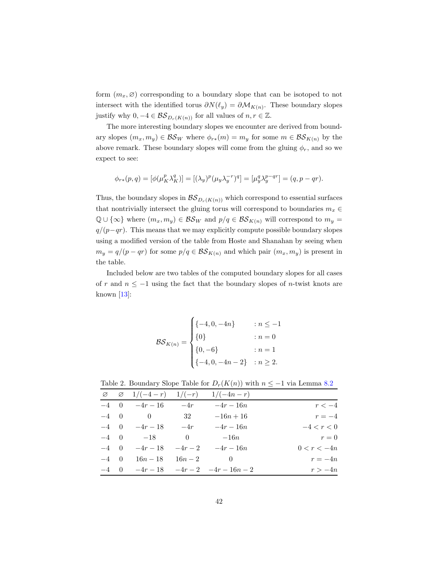form  $(m_x, \varnothing)$  corresponding to a boundary slope that can be isotoped to not intersect with the identified torus  $\partial N(\ell_y) = \partial \mathcal{M}_{K(n)}$ . These boundary slopes justify why  $0, -4 \in \mathcal{BS}_{D_r(K(n))}$  for all values of  $n, r \in \mathbb{Z}$ .

The more interesting boundary slopes we encounter are derived from boundary slopes  $(m_x, m_y) \in \mathcal{BS}_W$  where  $\phi_{r*}(m) = m_y$  for some  $m \in \mathcal{BS}_{K(n)}$  by the above remark. These boundary slopes will come from the gluing  $\phi_r$ , and so we expect to see:

$$
\phi_{r*}(p,q) = [\phi(\mu_K^p \lambda_K^q)] = [(\lambda_y)^p (\mu_y \lambda_y^{-r})^q] = [\mu_y^q \lambda_y^{p-qr}] = (q, p-qr).
$$

Thus, the boundary slopes in  $\mathcal{BS}_{D_r(K(n))}$  which correspond to essential surfaces that nontrivially intersect the gluing torus will correspond to boundaries  $m_x \in$  $\mathbb{Q} \cup {\infty}$  where  $(m_x, m_y) \in \mathcal{BS}_W$  and  $p/q \in \mathcal{BS}_{K(n)}$  will correspond to  $m_y =$  $q/(p-qr)$ . This means that we may explicitly compute possible boundary slopes using a modified version of the table from Hoste and Shanahan by seeing when  $m_y = q/(p - qr)$  for some  $p/q \in \mathcal{BS}_{K(n)}$  and which pair  $(m_x, m_y)$  is present in the table.

Included below are two tables of the computed boundary slopes for all cases of r and  $n \leq -1$  using the fact that the boundary slopes of n-twist knots are known  $[13]$ :

$$
\mathcal{BS}_{K(n)} = \begin{cases} \{-4, 0, -4n\} & : n \le -1 \\ \{0\} & : n = 0 \\ \{0, -6\} & : n = 1 \\ \{-4, 0, -4n - 2\} & : n \ge 2. \end{cases}
$$

Table 2. Boundary Slope Table for  $D_r(K(n))$  with  $n \leq -1$  via Lemma [8.2](#page-39-0)

|               | $\varnothing$ $\varnothing$ $1/(-4-r)$ $1/(-r)$ $1/(-4n-r)$ |                |                      |             |
|---------------|-------------------------------------------------------------|----------------|----------------------|-------------|
| $r < -4$      | $-4r-16n$                                                   | $-4r$          | $-4r-16$             | $-4$ 0      |
| $r=-4$        | $-16n+16$                                                   | 32             | $\hspace{1.6cm} 0$   | $-4\quad 0$ |
| $-4 < r < 0$  | $-4r-16n$                                                   | $-4r$          | $-4r-18$             | $-4$ 0      |
| $r = 0$       | $-16n$                                                      | $\overline{0}$ | $-18$                | $-4$ 0      |
| $0 < r < -4n$ | $-4r-2 = -4r-16n$                                           |                | $-4r-18$             | $-4$ 0      |
| $r=-4n$       | $\sim$ 0                                                    |                | $16n - 18$ $16n - 2$ | $-4$ 0      |
| $r > -4n$     | $-4r-18$ $-4r-2$ $-4r-16n-2$                                |                |                      | $-4\quad 0$ |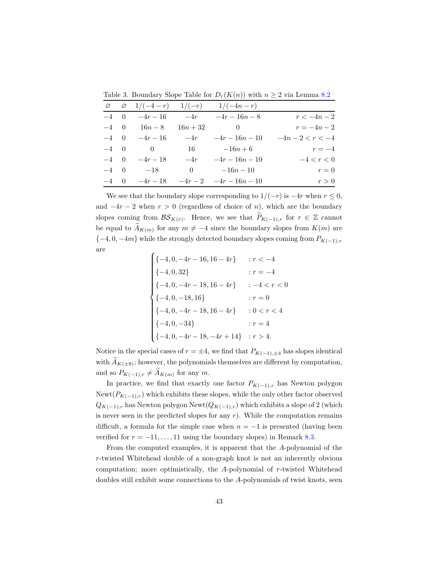|              | $\varnothing$ $\varnothing$ $1/(-4-r)$ $1/(-r)$ |            | $1/(-4n-r)$                          |                  |
|--------------|-------------------------------------------------|------------|--------------------------------------|------------------|
| $-4\quad 0$  | $-4r-16$ $-4r$                                  |            | $-4r-16n-8$                          | $r < -4n - 2$    |
|              | $-4 \quad 0 \quad 16n - 8$                      | $16n + 32$ | $\hspace{1.6cm}0\hspace{1.1cm}$      | $r = -4n - 2$    |
| $-4\quad 0$  | $-4r-16$                                        | $-4r$      | $-4r-16n-10$                         | $-4n-2 < r < -4$ |
| $-4\quad 0$  | $\begin{array}{ccc} & & 0 \end{array}$          | 16         | $-16n+6$                             | $r=-4$           |
| $-4 \quad 0$ | $-4r-18$                                        | $-4r$      | $-4r-16n-10$                         | $-4 < r < 0$     |
|              | $-4 \quad 0 \quad -18$                          |            | 0 $-16n - 10$                        | $r=0$            |
|              |                                                 |            | $-4$ 0 $-4r-18$ $-4r-2$ $-4r-16n-10$ | r > 0            |

Table 3. Boundary Slope Table for  $D_r(K(n))$  with  $n \geq 2$  via Lemma [8.2](#page-39-0)

We see that the boundary slope corresponding to  $1/(-r)$  is  $-4r$  when  $r \leq 0$ , and  $-4r-2$  when  $r > 0$  (regardless of choice of n), which are the boundary slopes coming from  $\mathcal{BS}_{K(r)}$ . Hence, we see that  $P_{K(-1),r}$  for  $r \in \mathbb{Z}$  cannot be equal to  $A_{K(m)}$  for any  $m \neq -4$  since the boundary slopes from  $K(m)$  are  ${-4, 0, -4m}$  while the strongly detected boundary slopes coming from  $P_{K(-1),r}$ are

$$
\begin{cases}\n\{-4,0,-4r-16,16-4r\} & : r < -4 \\
\{-4,0,32\} & : r = -4 \\
\{-4,0,-4r-18,16-4r\} & : -4 < r < 0\n\end{cases}
$$
\n
$$
\begin{cases}\n-4,0,-18,16\} & : r = 0 \\
\{-4,0,-4r-18,16-4r\} & : 0 < r < 4 \\
\{-4,0,-34\} & : r = 4 \\
\{-4,0,-4r-18,-4r+14\} & : r > 4.\n\end{cases}
$$

Notice in the special cases of  $r = \pm 4$ , we find that  $P_{K(-1),\pm 4}$  has slopes identical with  $A_{K(\pm 8)}$ ; however, the polynomials themselves are different by computation, and so  $P_{K(-1),r} \neq A_{K(m)}$  for any m.

In practice, we find that exactly one factor  $P_{K(-1),r}$  has Newton polygon Newt $(P_{K(-1),r})$  which exhibits these slopes, while the only other factor observed  $Q_{K(-1),r}$  has Newton polygon Newt $(Q_{K(-1),r})$  which exhibits a slope of 2 (which is never seen in the predicted slopes for any  $r$ ). While the computation remains difficult, a formula for the simple case when  $n = -1$  is presented (having been verified for  $r = -11, \ldots, 11$  using the boundary slopes) in Remark [8.3.](#page-40-0)

From the computed examples, it is apparent that the A-polynomial of the r-twisted Whitehead double of a non-graph knot is not an inherently obvious computation; more optimistically, the A-polynomial of r-twisted Whitehead doubles still exhibit some connections to the A-polynomials of twist knots, seen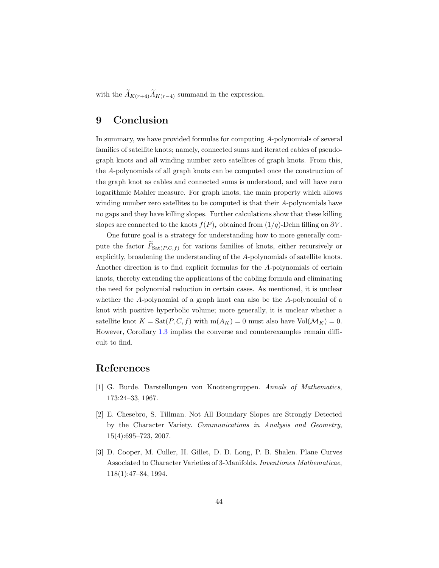<span id="page-43-0"></span>with the  $\widetilde{A}_{K(r+4)}\widetilde{A}_{K(r-4)}$  summand in the expression.

### 9 Conclusion

In summary, we have provided formulas for computing A-polynomials of several families of satellite knots; namely, connected sums and iterated cables of pseudograph knots and all winding number zero satellites of graph knots. From this, the A-polynomials of all graph knots can be computed once the construction of the graph knot as cables and connected sums is understood, and will have zero logarithmic Mahler measure. For graph knots, the main property which allows winding number zero satellites to be computed is that their A-polynomials have no gaps and they have killing slopes. Further calculations show that these killing slopes are connected to the knots  $f(P)_r$  obtained from  $(1/q)$ -Dehn filling on  $\partial V$ .

One future goal is a strategy for understanding how to more generally compute the factor  $F_{\text{Sat}(P,C,f)}$  for various families of knots, either recursively or explicitly, broadening the understanding of the A-polynomials of satellite knots. Another direction is to find explicit formulas for the A-polynomials of certain knots, thereby extending the applications of the cabling formula and eliminating the need for polynomial reduction in certain cases. As mentioned, it is unclear whether the A-polynomial of a graph knot can also be the A-polynomial of a knot with positive hyperbolic volume; more generally, it is unclear whether a satellite knot  $K = \text{Sat}(P, C, f)$  with  $m(A_K) = 0$  must also have  $\text{Vol}(\mathcal{M}_K) = 0$ . However, Corollary [1.3](#page-2-0) implies the converse and counterexamples remain difficult to find.

# <span id="page-43-2"></span>References

- [1] G. Burde. Darstellungen von Knottengruppen. *Annals of Mathematics*, 173:24–33, 1967.
- [2] E. Chesebro, S. Tillman. Not All Boundary Slopes are Strongly Detected by the Character Variety. *Communications in Analysis and Geometry*, 15(4):695–723, 2007.
- <span id="page-43-1"></span>[3] D. Cooper, M. Culler, H. Gillet, D. D. Long, P. B. Shalen. Plane Curves Associated to Character Varieties of 3-Manifolds. *Inventiones Mathematicae*, 118(1):47–84, 1994.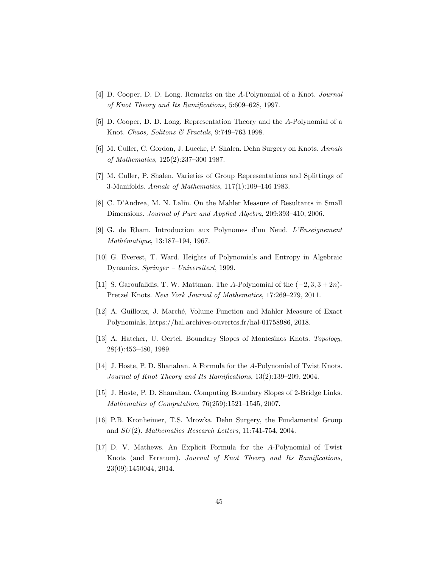- <span id="page-44-7"></span>[4] D. Cooper, D. D. Long. Remarks on the A-Polynomial of a Knot. *Journal of Knot Theory and Its Ramifications*, 5:609–628, 1997.
- <span id="page-44-8"></span>[5] D. Cooper, D. D. Long. Representation Theory and the A-Polynomial of a Knot. *Chaos, Solitons & Fractals*, 9:749–763 1998.
- <span id="page-44-9"></span>[6] M. Culler, C. Gordon, J. Luecke, P. Shalen. Dehn Surgery on Knots. *Annals of Mathematics*, 125(2):237–300 1987.
- <span id="page-44-4"></span>[7] M. Culler, P. Shalen. Varieties of Group Representations and Splittings of 3-Manifolds. *Annals of Mathematics*, 117(1):109–146 1983.
- <span id="page-44-10"></span>[8] C. D'Andrea, M. N. Lalín. On the Mahler Measure of Resultants in Small Dimensions. *Journal of Pure and Applied Algebra*, 209:393–410, 2006.
- <span id="page-44-5"></span>[9] G. de Rham. Introduction aux Polynomes d'un Neud. *L'Enseignement Math´ematique*, 13:187–194, 1967.
- <span id="page-44-2"></span>[10] G. Everest, T. Ward. Heights of Polynomials and Entropy in Algebraic Dynamics. *Springer – Universitext*, 1999.
- <span id="page-44-3"></span>[11] S. Garoufalidis, T. W. Mattman. The A-Polynomial of the  $(-2, 3, 3 + 2n)$ -Pretzel Knots. *New York Journal of Mathematics*, 17:269–279, 2011.
- <span id="page-44-12"></span>[12] A. Guilloux, J. March´e, Volume Function and Mahler Measure of Exact Polynomials, https://hal.archives-ouvertes.fr/hal-01758986, 2018.
- <span id="page-44-0"></span>[13] A. Hatcher, U. Oertel. Boundary Slopes of Montesinos Knots. *Topology*, 28(4):453–480, 1989.
- <span id="page-44-1"></span>[14] J. Hoste, P. D. Shanahan. A Formula for the A-Polynomial of Twist Knots. *Journal of Knot Theory and Its Ramifications*, 13(2):139–209, 2004.
- <span id="page-44-11"></span>[15] J. Hoste, P. D. Shanahan. Computing Boundary Slopes of 2-Bridge Links. *Mathematics of Computation*, 76(259):1521–1545, 2007.
- <span id="page-44-6"></span>[16] P.B. Kronheimer, T.S. Mrowka. Dehn Surgery, the Fundamental Group and SU(2). *Mathematics Research Letters*, 11:741-754, 2004.
- [17] D. V. Mathews. An Explicit Formula for the A-Polynomial of Twist Knots (and Erratum). *Journal of Knot Theory and Its Ramifications*, 23(09):1450044, 2014.